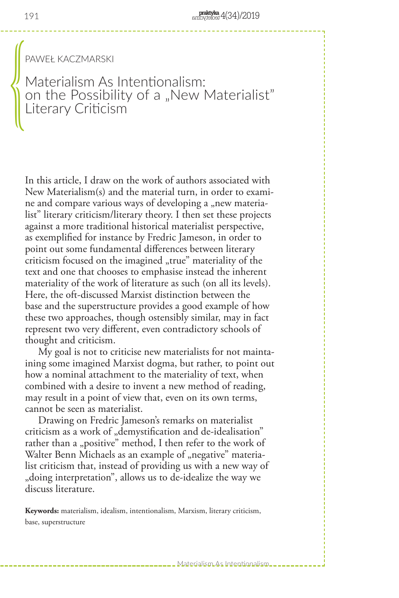PAWEŁ KACZMARSKI

Materialism As Intentionalism: on the Possibility of a "New Materialist" Literary Criticism  $\begin{matrix} \frac{1}{2} \end{matrix}$ 

In this article, I draw on the work of authors associated with New Materialism(s) and the material turn, in order to examine and compare various ways of developing a "new materialist" literary criticism/literary theory. I then set these projects against a more traditional historical materialist perspective, as exemplified for instance by Fredric Jameson, in order to point out some fundamental differences between literary criticism focused on the imagined "true" materiality of the text and one that chooses to emphasise instead the inherent materiality of the work of literature as such (on all its levels). Here, the oft-discussed Marxist distinction between the base and the superstructure provides a good example of how these two approaches, though ostensibly similar, may in fact represent two very different, even contradictory schools of thought and criticism.

 My goal is not to criticise new materialists for not maintaining some imagined Marxist dogma, but rather, to point out how a nominal attachment to the materiality of text, when combined with a desire to invent a new method of reading, may result in a point of view that, even on its own terms, cannot be seen as materialist.

 Drawing on Fredric Jameson's remarks on materialist criticism as a work of "demystification and de-idealisation" rather than a "positive" method, I then refer to the work of Walter Benn Michaels as an example of "negative" materialist criticism that, instead of providing us with a new way of "doing interpretation", allows us to de-idealize the way we discuss literature.

**Keywords:** materialism, idealism, intentionalism, Marxism, literary criticism, base, superstructure

Materialism As Intentionalism...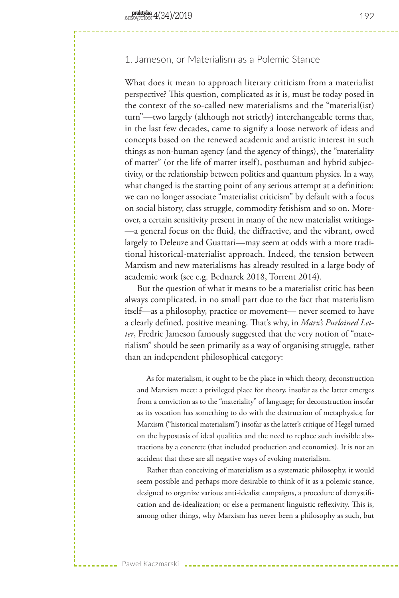# 1. Jameson, or Materialism as a Polemic Stance

What does it mean to approach literary criticism from a materialist perspective? This question, complicated as it is, must be today posed in the context of the so-called new materialisms and the "material(ist) turn"—two largely (although not strictly) interchangeable terms that, in the last few decades, came to signify a loose network of ideas and concepts based on the renewed academic and artistic interest in such things as non-human agency (and the agency of things), the "materiality of matter" (or the life of matter itself), posthuman and hybrid subjectivity, or the relationship between politics and quantum physics. In a way, what changed is the starting point of any serious attempt at a definition: we can no longer associate "materialist criticism" by default with a focus on social history, class struggle, commodity fetishism and so on. Moreover, a certain sensitivity present in many of the new materialist writings- —a general focus on the fluid, the diffractive, and the vibrant, owed largely to Deleuze and Guattari—may seem at odds with a more traditional historical-materialist approach. Indeed, the tension between Marxism and new materialisms has already resulted in a large body of academic work (see e.g. Bednarek 2018, Torrent 2014).

But the question of what it means to be a materialist critic has been always complicated, in no small part due to the fact that materialism itself—as a philosophy, practice or movement— never seemed to have a clearly defined, positive meaning. That's why, in *Marx's Purloined Letter*, Fredric Jameson famously suggested that the very notion of "materialism" should be seen primarily as a way of organising struggle, rather than an independent philosophical category:

 As for materialism, it ought to be the place in which theory, deconstruction and Marxism meet: a privileged place for theory, insofar as the latter emerges from a conviction as to the "materiality" of language; for deconstruction insofar as its vocation has something to do with the destruction of metaphysics; for Marxism ("historical materialism") insofar as the latter's critique of Hegel turned on the hypostasis of ideal qualities and the need to replace such invisible abstractions by a concrete (that included production and economics). It is not an accident that these are all negative ways of evoking materialism.

 Rather than conceiving of materialism as a systematic philosophy, it would seem possible and perhaps more desirable to think of it as a polemic stance, designed to organize various anti-idealist campaigns, a procedure of demystification and de-idealization; or else a permanent linguistic reflexivity. This is, among other things, why Marxism has never been a philosophy as such, but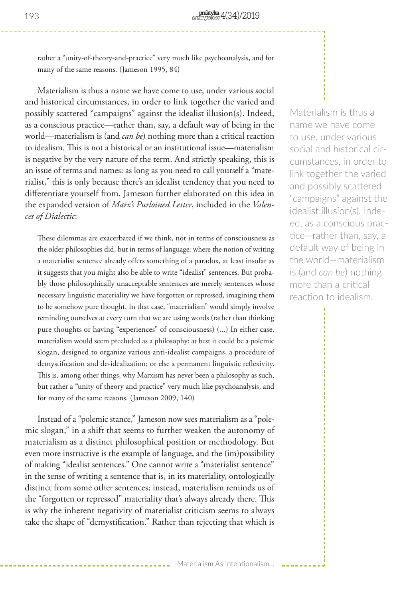rather a "unity-of-theory-and-practice" very much like psychoanalysis, and for many of the same reasons. (Jameson 1995, 84)

Materialism is thus a name we have come to use, under various social and historical circumstances, in order to link together the varied and possibly scattered "campaigns" against the idealist illusion(s). Indeed, as a conscious practice—rather than, say, a default way of being in the world—materialism is (and *can be*) nothing more than a critical reaction to idealism. This is not a historical or an institutional issue—materialism is negative by the very nature of the term. And strictly speaking, this is an issue of terms and names: as long as you need to call yourself a "materialist," this is only because there's an idealist tendency that you need to differentiate yourself from. Jameson further elaborated on this idea in the expanded version of *Marx's Purloined Letter*, included in the *Valences of Dialectic*:

These dilemmas are exacerbated if we think, not in terms of consciousness as the older philosophies did, but in terms of language: where the notion of writing a materialist sentence already offers something of a paradox, at least insofar as it suggests that you might also be able to write "idealist" sentences. But probably those philosophically unacceptable sentences are merely sentences whose necessary linguistic materiality we have forgotten or repressed, imagining them to be somehow pure thought. In that case, "materialism" would simply involve reminding ourselves at every turn that we are using words (rather than thinking pure thoughts or having "experiences" of consciousness) (...) In either case, materialism would seem precluded as a philosophy: at best it could be a polemic slogan, designed to organize various anti-idealist campaigns, a procedure of demystification and de-idealization; or else a permanent linguistic reflexivity. This is, among other things, why Marxism has never been a philosophy as such, but rather a "unity of theory and practice" very much like psychoanalysis, and for many of the same reasons. (Jameson 2009, 140)

Instead of a "polemic stance," Jameson now sees materialism as a "polemic slogan," in a shift that seems to further weaken the autonomy of materialism as a distinct philosophical position or methodology. But even more instructive is the example of language, and the (im)possibility of making "idealist sentences." One cannot write a "materialist sentence" in the sense of writing a sentence that is, in its materiality, ontologically distinct from some other sentences; instead, materialism reminds us of the "forgotten or repressed" materiality that's always already there. This is why the inherent negativity of materialist criticism seems to always take the shape of "demystification." Rather than rejecting that which is

Materialism is thus a name we have come to use, under various social and historical circumstances, in order to link together the varied and possibly scattered "campaigns" against the idealist illusion(s). Indeed, as a conscious practice—rather than, say, a default way of being in the world—materialism is (and *can be*) nothing more than a critical reaction to idealism.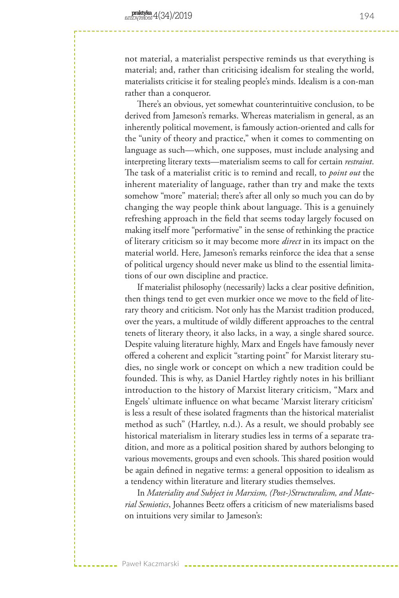not material, a materialist perspective reminds us that everything is material; and, rather than criticising idealism for stealing the world, materialists criticise it for stealing people's minds. Idealism is a con-man rather than a conqueror.

There's an obvious, yet somewhat counterintuitive conclusion, to be derived from Jameson's remarks. Whereas materialism in general, as an inherently political movement, is famously action-oriented and calls for the "unity of theory and practice," when it comes to commenting on language as such—which, one supposes, must include analysing and interpreting literary texts—materialism seems to call for certain *restraint*. The task of a materialist critic is to remind and recall, to *point out* the inherent materiality of language, rather than try and make the texts somehow "more" material; there's after all only so much you can do by changing the way people think about language. This is a genuinely refreshing approach in the field that seems today largely focused on making itself more "performative" in the sense of rethinking the practice of literary criticism so it may become more *direct* in its impact on the material world. Here, Jameson's remarks reinforce the idea that a sense of political urgency should never make us blind to the essential limitations of our own discipline and practice.

If materialist philosophy (necessarily) lacks a clear positive definition, then things tend to get even murkier once we move to the field of literary theory and criticism. Not only has the Marxist tradition produced, over the years, a multitude of wildly different approaches to the central tenets of literary theory, it also lacks, in a way, a single shared source. Despite valuing literature highly, Marx and Engels have famously never offered a coherent and explicit "starting point" for Marxist literary studies, no single work or concept on which a new tradition could be founded. This is why, as Daniel Hartley rightly notes in his brilliant introduction to the history of Marxist literary criticism, "Marx and Engels' ultimate influence on what became 'Marxist literary criticism' is less a result of these isolated fragments than the historical materialist method as such" (Hartley, n.d.). As a result, we should probably see historical materialism in literary studies less in terms of a separate tradition, and more as a political position shared by authors belonging to various movements, groups and even schools. This shared position would be again defined in negative terms: a general opposition to idealism as a tendency within literature and literary studies themselves.

In *Materiality and Subject in Marxism, (Post-)Structuralism, and Material Semiotics*, Johannes Beetz offers a criticism of new materialisms based on intuitions very similar to Jameson's: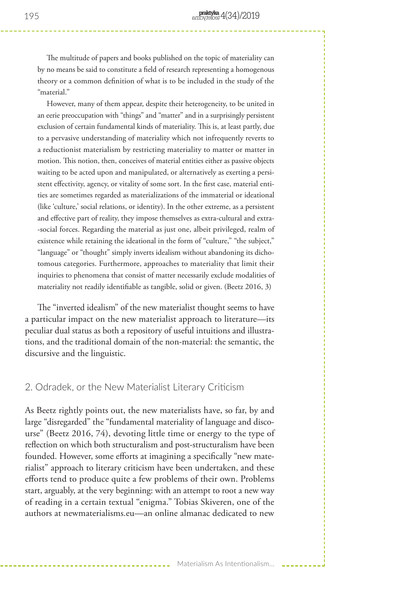The multitude of papers and books published on the topic of materiality can by no means be said to constitute a field of research representing a homogenous theory or a common definition of what is to be included in the study of the "material."

 However, many of them appear, despite their heterogeneity, to be united in an eerie preoccupation with "things" and "matter" and in a surprisingly persistent exclusion of certain fundamental kinds of materiality. This is, at least partly, due to a pervasive understanding of materiality which not infrequently reverts to a reductionist materialism by restricting materiality to matter or matter in motion. This notion, then, conceives of material entities either as passive objects waiting to be acted upon and manipulated, or alternatively as exerting a persistent effectivity, agency, or vitality of some sort. In the first case, material entities are sometimes regarded as materializations of the immaterial or ideational (like 'culture,' social relations, or identity). In the other extreme, as a persistent and effective part of reality, they impose themselves as extra-cultural and extra- -social forces. Regarding the material as just one, albeit privileged, realm of existence while retaining the ideational in the form of "culture," "the subject," "language" or "thought" simply inverts idealism without abandoning its dichotomous categories. Furthermore, approaches to materiality that limit their inquiries to phenomena that consist of matter necessarily exclude modalities of materiality not readily identifiable as tangible, solid or given. (Beetz 2016, 3)

The "inverted idealism" of the new materialist thought seems to have a particular impact on the new materialist approach to literature—its peculiar dual status as both a repository of useful intuitions and illustrations, and the traditional domain of the non-material: the semantic, the discursive and the linguistic.

## 2. Odradek, or the New Materialist Literary Criticism

As Beetz rightly points out, the new materialists have, so far, by and large "disregarded" the "fundamental materiality of language and discourse" (Beetz 2016, 74), devoting little time or energy to the type of reflection on which both structuralism and post-structuralism have been founded. However, some efforts at imagining a specifically "new materialist" approach to literary criticism have been undertaken, and these efforts tend to produce quite a few problems of their own. Problems start, arguably, at the very beginning: with an attempt to root a new way of reading in a certain textual "enigma." Tobias Skiveren, one of the authors at newmaterialisms.eu—an online almanac dedicated to new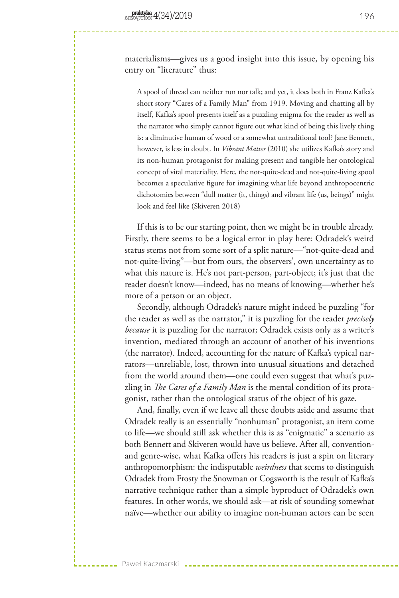materialisms—gives us a good insight into this issue, by opening his entry on "literature" thus:

A spool of thread can neither run nor talk; and yet, it does both in Franz Kafka's short story "Cares of a Family Man" from 1919. Moving and chatting all by itself, Kafka's spool presents itself as a puzzling enigma for the reader as well as the narrator who simply cannot figure out what kind of being this lively thing is: a diminutive human of wood or a somewhat untraditional tool? Jane Bennett, however, is less in doubt. In *Vibrant Matter* (2010) she utilizes Kafka's story and its non-human protagonist for making present and tangible her ontological concept of vital materiality. Here, the not-quite-dead and not-quite-living spool becomes a speculative figure for imagining what life beyond anthropocentric dichotomies between "dull matter (it, things) and vibrant life (us, beings)" might look and feel like (Skiveren 2018)

If this is to be our starting point, then we might be in trouble already. Firstly, there seems to be a logical error in play here: Odradek's weird status stems not from some sort of a split nature—"not-quite-dead and not-quite-living"—but from ours, the observers', own uncertainty as to what this nature is. He's not part-person, part-object; it's just that the reader doesn't know—indeed, has no means of knowing—whether he's more of a person or an object.

Secondly, although Odradek's nature might indeed be puzzling "for the reader as well as the narrator," it is puzzling for the reader *precisely because* it is puzzling for the narrator; Odradek exists only as a writer's invention, mediated through an account of another of his inventions (the narrator). Indeed, accounting for the nature of Kafka's typical narrators—unreliable, lost, thrown into unusual situations and detached from the world around them—one could even suggest that what's puzzling in *The Cares of a Family Man* is the mental condition of its protagonist, rather than the ontological status of the object of his gaze.

And, finally, even if we leave all these doubts aside and assume that Odradek really is an essentially "nonhuman" protagonist, an item come to life—we should still ask whether this is as "enigmatic" a scenario as both Bennett and Skiveren would have us believe. After all, conventionand genre-wise, what Kafka offers his readers is just a spin on literary anthropomorphism: the indisputable *weirdness* that seems to distinguish Odradek from Frosty the Snowman or Cogsworth is the result of Kafka's narrative technique rather than a simple byproduct of Odradek's own features. In other words, we should ask—at risk of sounding somewhat naïve—whether our ability to imagine non-human actors can be seen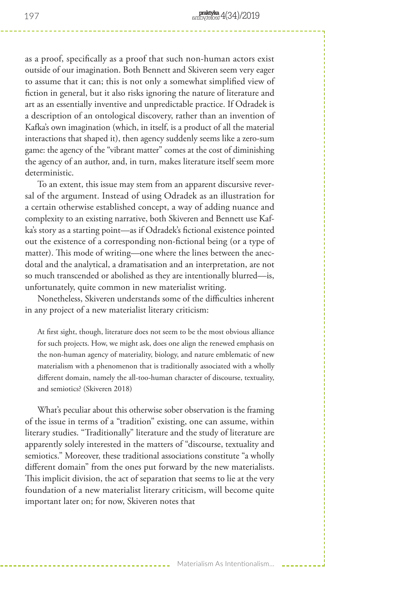as a proof, specifically as a proof that such non-human actors exist outside of our imagination. Both Bennett and Skiveren seem very eager to assume that it can; this is not only a somewhat simplified view of fiction in general, but it also risks ignoring the nature of literature and art as an essentially inventive and unpredictable practice. If Odradek is a description of an ontological discovery, rather than an invention of Kafka's own imagination (which, in itself, is a product of all the material interactions that shaped it), then agency suddenly seems like a zero-sum game: the agency of the "vibrant matter" comes at the cost of diminishing the agency of an author, and, in turn, makes literature itself seem more deterministic.

To an extent, this issue may stem from an apparent discursive reversal of the argument. Instead of using Odradek as an illustration for a certain otherwise established concept, a way of adding nuance and complexity to an existing narrative, both Skiveren and Bennett use Kafka's story as a starting point—as if Odradek's fictional existence pointed out the existence of a corresponding non-fictional being (or a type of matter). This mode of writing—one where the lines between the anecdotal and the analytical, a dramatisation and an interpretation, are not so much transcended or abolished as they are intentionally blurred—is, unfortunately, quite common in new materialist writing.

Nonetheless, Skiveren understands some of the difficulties inherent in any project of a new materialist literary criticism:

At first sight, though, literature does not seem to be the most obvious alliance for such projects. How, we might ask, does one align the renewed emphasis on the non-human agency of materiality, biology, and nature emblematic of new materialism with a phenomenon that is traditionally associated with a wholly different domain, namely the all-too-human character of discourse, textuality, and semiotics? (Skiveren 2018)

What's peculiar about this otherwise sober observation is the framing of the issue in terms of a "tradition" existing, one can assume, within literary studies. "Traditionally" literature and the study of literature are apparently solely interested in the matters of "discourse, textuality and semiotics." Moreover, these traditional associations constitute "a wholly different domain" from the ones put forward by the new materialists. This implicit division, the act of separation that seems to lie at the very foundation of a new materialist literary criticism, will become quite important later on; for now, Skiveren notes that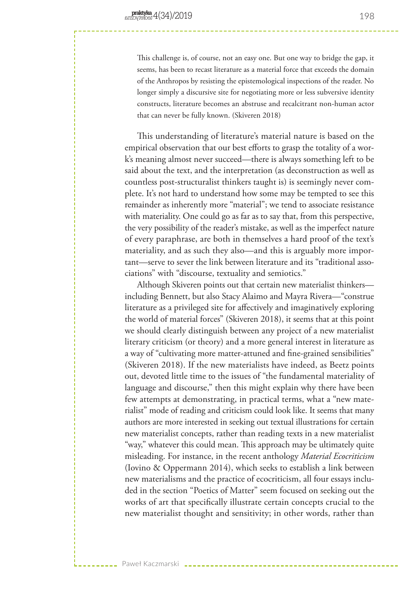Paweł Kaczmarski

This challenge is, of course, not an easy one. But one way to bridge the gap, it seems, has been to recast literature as a material force that exceeds the domain of the Anthropos by resisting the epistemological inspections of the reader. No longer simply a discursive site for negotiating more or less subversive identity constructs, literature becomes an abstruse and recalcitrant non-human actor that can never be fully known. (Skiveren 2018)

This understanding of literature's material nature is based on the empirical observation that our best efforts to grasp the totality of a work's meaning almost never succeed—there is always something left to be said about the text, and the interpretation (as deconstruction as well as countless post-structuralist thinkers taught is) is seemingly never complete. It's not hard to understand how some may be tempted to see this remainder as inherently more "material"; we tend to associate resistance with materiality. One could go as far as to say that, from this perspective, the very possibility of the reader's mistake, as well as the imperfect nature of every paraphrase, are both in themselves a hard proof of the text's materiality, and as such they also—and this is arguably more important—serve to sever the link between literature and its "traditional associations" with "discourse, textuality and semiotics."

Although Skiveren points out that certain new materialist thinkers including Bennett, but also Stacy Alaimo and Mayra Rivera—"construe literature as a privileged site for affectively and imaginatively exploring the world of material forces" (Skiveren 2018), it seems that at this point we should clearly distinguish between any project of a new materialist literary criticism (or theory) and a more general interest in literature as a way of "cultivating more matter-attuned and fine-grained sensibilities" (Skiveren 2018). If the new materialists have indeed, as Beetz points out, devoted little time to the issues of "the fundamental materiality of language and discourse," then this might explain why there have been few attempts at demonstrating, in practical terms, what a "new materialist" mode of reading and criticism could look like. It seems that many authors are more interested in seeking out textual illustrations for certain new materialist concepts, rather than reading texts in a new materialist "way," whatever this could mean. This approach may be ultimately quite misleading. For instance, in the recent anthology *Material Ecocriticism*  (Iovino & Oppermann 2014), which seeks to establish a link between new materialisms and the practice of ecocriticism, all four essays included in the section "Poetics of Matter" seem focused on seeking out the works of art that specifically illustrate certain concepts crucial to the new materialist thought and sensitivity; in other words, rather than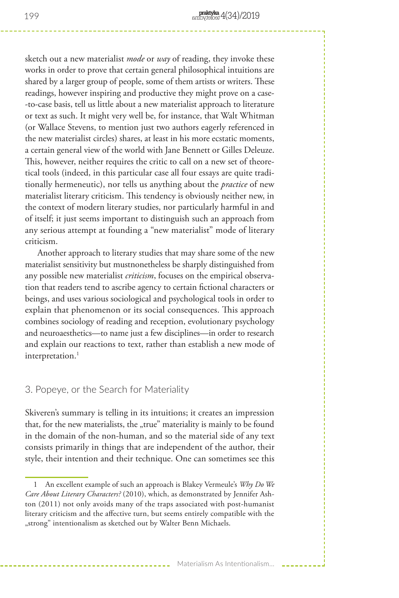sketch out a new materialist *mode* or *way* of reading, they invoke these works in order to prove that certain general philosophical intuitions are shared by a larger group of people, some of them artists or writers. These readings, however inspiring and productive they might prove on a case- -to-case basis, tell us little about a new materialist approach to literature or text as such. It might very well be, for instance, that Walt Whitman (or Wallace Stevens, to mention just two authors eagerly referenced in the new materialist circles) shares, at least in his more ecstatic moments, a certain general view of the world with Jane Bennett or Gilles Deleuze. This, however, neither requires the critic to call on a new set of theoretical tools (indeed, in this particular case all four essays are quite traditionally hermeneutic), nor tells us anything about the *practice* of new materialist literary criticism. This tendency is obviously neither new, in the context of modern literary studies, nor particularly harmful in and of itself; it just seems important to distinguish such an approach from any serious attempt at founding a "new materialist" mode of literary criticism.

Another approach to literary studies that may share some of the new materialist sensitivity but mustnonetheless be sharply distinguished from any possible new materialist *criticism*, focuses on the empirical observation that readers tend to ascribe agency to certain fictional characters or beings, and uses various sociological and psychological tools in order to explain that phenomenon or its social consequences. This approach combines sociology of reading and reception, evolutionary psychology and neuroaesthetics—to name just a few disciplines—in order to research and explain our reactions to text, rather than establish a new mode of interpretation.<sup>1</sup>

### 3. Popeye, or the Search for Materiality

Skiveren's summary is telling in its intuitions; it creates an impression that, for the new materialists, the "true" materiality is mainly to be found in the domain of the non-human, and so the material side of any text consists primarily in things that are independent of the author, their style, their intention and their technique. One can sometimes see this

<sup>1</sup> An excellent example of such an approach is Blakey Vermeule's *Why Do We Care About Literary Characters?* (2010), which, as demonstrated by Jennifer Ashton (2011) not only avoids many of the traps associated with post-humanist literary criticism and the affective turn, but seems entirely compatible with the "strong" intentionalism as sketched out by Walter Benn Michaels.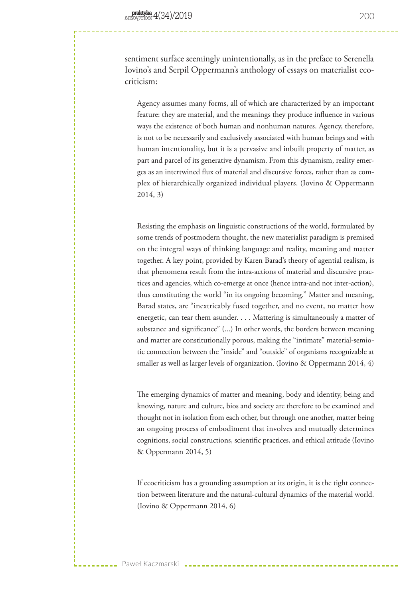sentiment surface seemingly unintentionally, as in the preface to Serenella Iovino's and Serpil Oppermann's anthology of essays on materialist ecocriticism:

Agency assumes many forms, all of which are characterized by an important feature: they are material, and the meanings they produce influence in various ways the existence of both human and nonhuman natures. Agency, therefore, is not to be necessarily and exclusively associated with human beings and with human intentionality, but it is a pervasive and inbuilt property of matter, as part and parcel of its generative dynamism. From this dynamism, reality emerges as an intertwined flux of material and discursive forces, rather than as complex of hierarchically organized individual players. (Iovino & Oppermann 2014, 3)

Resisting the emphasis on linguistic constructions of the world, formulated by some trends of postmodern thought, the new materialist paradigm is premised on the integral ways of thinking language and reality, meaning and matter together. A key point, provided by Karen Barad's theory of agential realism, is that phenomena result from the intra-actions of material and discursive practices and agencies, which co-emerge at once (hence intra-and not inter-action), thus constituting the world "in its ongoing becoming." Matter and meaning, Barad states, are "inextricably fused together, and no event, no matter how energetic, can tear them asunder. . . . Mattering is simultaneously a matter of substance and significance" (...) In other words, the borders between meaning and matter are constitutionally porous, making the "intimate" material-semiotic connection between the "inside" and "outside" of organisms recognizable at smaller as well as larger levels of organization. (Iovino & Oppermann 2014, 4)

The emerging dynamics of matter and meaning, body and identity, being and knowing, nature and culture, bios and society are therefore to be examined and thought not in isolation from each other, but through one another, matter being an ongoing process of embodiment that involves and mutually determines cognitions, social constructions, scientific practices, and ethical attitude (Iovino & Oppermann 2014, 5)

If ecocriticism has a grounding assumption at its origin, it is the tight connection between literature and the natural-cultural dynamics of the material world. (Iovino & Oppermann 2014, 6)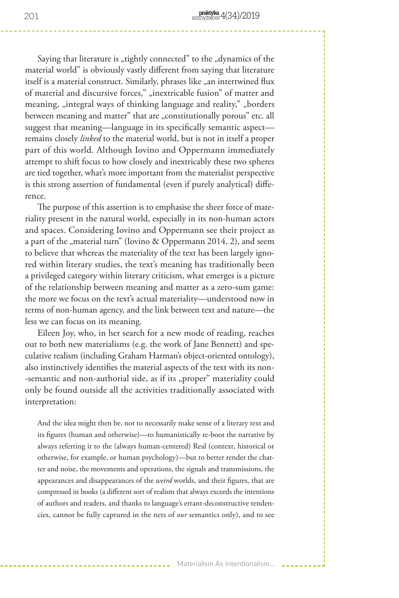Saying that literature is "tightly connected" to the "dynamics of the material world" is obviously vastly different from saying that literature itself is a material construct. Similarly, phrases like "an intertwined flux of material and discursive forces," "inextricable fusion" of matter and meaning, "integral ways of thinking language and reality," "borders between meaning and matter" that are "constitutionally porous" etc. all suggest that meaning—language in its specifically semantic aspect remains closely *linked* to the material world, but is not in itself a proper part of this world. Although Iovino and Oppermann immediately attempt to shift focus to how closely and inextricably these two spheres are tied together, what's more important from the materialist perspective is this strong assertion of fundamental (even if purely analytical) difference.

The purpose of this assertion is to emphasise the sheer force of materiality present in the natural world, especially in its non-human actors and spaces. Considering Iovino and Oppermann see their project as a part of the "material turn" (Iovino & Oppermann 2014, 2), and seem to believe that whereas the materiality of the text has been largely ignored within literary studies, the text's meaning has traditionally been a privileged category within literary criticism, what emerges is a picture of the relationship between meaning and matter as a zero-sum game: the more we focus on the text's actual materiality—understood now in terms of non-human agency, and the link between text and nature—the less we can focus on its meaning.

Eileen Joy, who, in her search for a new mode of reading, reaches out to both new materialisms (e.g. the work of Jane Bennett) and speculative realism (including Graham Harman's object-oriented ontology), also instinctively identifies the material aspects of the text with its non- -semantic and non-authorial side, as if its "proper" materiality could only be found outside all the activities traditionally associated with interpretation:

And the idea might then be, not to necessarily make sense of a literary text and its figures (human and otherwise)—to humanistically re-boot the narrative by always referring it to the (always human-centered) Real (context, historical or otherwise, for example, or human psychology)—but to better render the chatter and noise, the movements and operations, the signals and transmissions, the appearances and disappearances of the *weird* worlds, and their figures, that are compressed in books (a different sort of realism that always exceeds the intentions of authors and readers, and thanks to language's errant-deconstructive tendencies, cannot be fully captured in the nets of *our* semantics only), and to see

201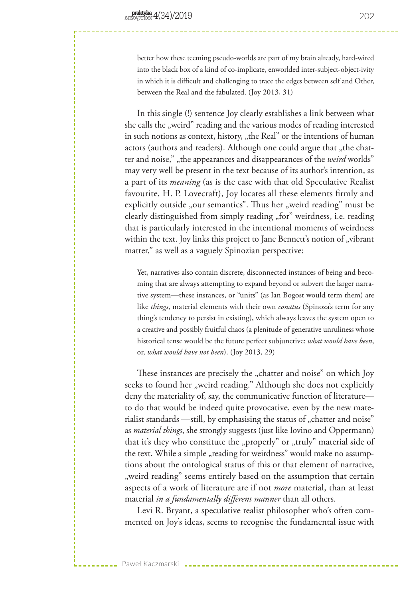better how these teeming pseudo-worlds are part of my brain already, hard-wired into the black box of a kind of co-implicate, enworlded inter-subject-object-ivity in which it is difficult and challenging to trace the edges between self and Other, between the Real and the fabulated. (Joy 2013, 31)

In this single (!) sentence Joy clearly establishes a link between what she calls the "weird" reading and the various modes of reading interested in such notions as context, history, "the Real" or the intentions of human actors (authors and readers). Although one could argue that "the chatter and noise,", the appearances and disappearances of the *weird* worlds" may very well be present in the text because of its author's intention, as a part of its *meaning* (as is the case with that old Speculative Realist favourite, H. P. Lovecraft), Joy locates all these elements firmly and explicitly outside "our semantics". Thus her "weird reading" must be clearly distinguished from simply reading "for" weirdness, i.e. reading that is particularly interested in the intentional moments of weirdness within the text. Joy links this project to Jane Bennett's notion of "vibrant matter," as well as a vaguely Spinozian perspective:

Yet, narratives also contain discrete, disconnected instances of being and becoming that are always attempting to expand beyond or subvert the larger narrative system—these instances, or "units" (as Ian Bogost would term them) are like *things*, material elements with their own *conatus* (Spinoza's term for any thing's tendency to persist in existing), which always leaves the system open to a creative and possibly fruitful chaos (a plenitude of generative unruliness whose historical tense would be the future perfect subjunctive: *what would have been*, or, *what would have not been*). (Joy 2013, 29)

These instances are precisely the "chatter and noise" on which Joy seeks to found her "weird reading." Although she does not explicitly deny the materiality of, say, the communicative function of literature to do that would be indeed quite provocative, even by the new materialist standards —still, by emphasising the status of "chatter and noise" as *material things*, she strongly suggests (just like Iovino and Oppermann) that it's they who constitute the "properly" or "truly" material side of the text. While a simple "reading for weirdness" would make no assumptions about the ontological status of this or that element of narrative, weird reading" seems entirely based on the assumption that certain aspects of a work of literature are if not *more* material, than at least material *in a fundamentally different manner* than all others.

Levi R. Bryant, a speculative realist philosopher who's often commented on Joy's ideas, seems to recognise the fundamental issue with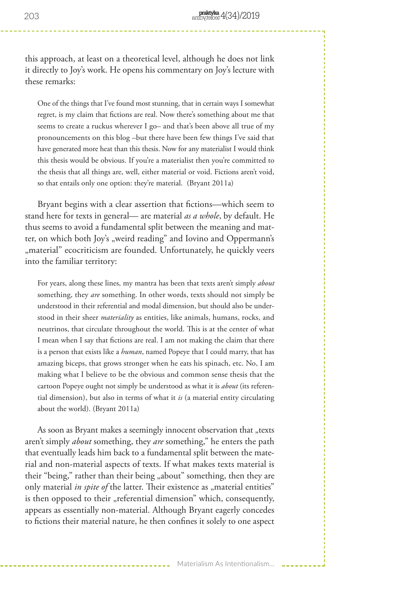this approach, at least on a theoretical level, although he does not link it directly to Joy's work. He opens his commentary on Joy's lecture with these remarks:

One of the things that I've found most stunning, that in certain ways I somewhat regret, is my claim that fictions are real. Now there's something about me that seems to create a ruckus wherever I go– and that's been above all true of my pronouncements on this blog –but there have been few things I've said that have generated more heat than this thesis. Now for any materialist I would think this thesis would be obvious. If you're a materialist then you're committed to the thesis that all things are, well, either material or void. Fictions aren't void, so that entails only one option: they're material. (Bryant 2011a)

Bryant begins with a clear assertion that fictions—which seem to stand here for texts in general— are material *as a whole*, by default. He thus seems to avoid a fundamental split between the meaning and matter, on which both Joy's "weird reading" and Iovino and Oppermann's "material" ecocriticism are founded. Unfortunately, he quickly veers into the familiar territory:

For years, along these lines, my mantra has been that texts aren't simply *about* something, they *are* something. In other words, texts should not simply be understood in their referential and modal dimension, but should also be understood in their sheer *materiality* as entities, like animals, humans, rocks, and neutrinos, that circulate throughout the world. This is at the center of what I mean when I say that fictions are real. I am not making the claim that there is a person that exists like a *human*, named Popeye that I could marry, that has amazing biceps, that grows stronger when he eats his spinach, etc. No, I am making what I believe to be the obvious and common sense thesis that the cartoon Popeye ought not simply be understood as what it is *about* (its referential dimension), but also in terms of what it *is* (a material entity circulating about the world). (Bryant 2011a)

As soon as Bryant makes a seemingly innocent observation that "texts aren't simply *about* something, they *are* something," he enters the path that eventually leads him back to a fundamental split between the material and non-material aspects of texts. If what makes texts material is their "being," rather than their being "about" something, then they are only material *in spite of* the latter. Their existence as "material entities" is then opposed to their "referential dimension" which, consequently, appears as essentially non-material. Although Bryant eagerly concedes to fictions their material nature, he then confines it solely to one aspect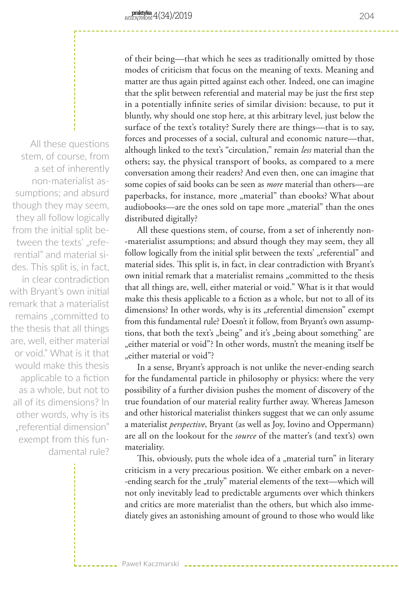All these questions stem, of course, from a set of inherently non-materialist assumptions; and absurd though they may seem, they all follow logically from the initial split between the texts' "referential" and material sides. This split is, in fact, in clear contradiction with Bryant's own initial remark that a materialist remains "committed to the thesis that all things are, well, either material or void." What is it that would make this thesis applicable to a fiction as a whole, but not to all of its dimensions? In other words, why is its "referential dimension" exempt from this fundamental rule?

of their being—that which he sees as traditionally omitted by those modes of criticism that focus on the meaning of texts. Meaning and matter are thus again pitted against each other. Indeed, one can imagine that the split between referential and material may be just the first step in a potentially infinite series of similar division: because, to put it bluntly, why should one stop here, at this arbitrary level, just below the surface of the text's totality? Surely there are things—that is to say, forces and processes of a social, cultural and economic nature—that, although linked to the text's "circulation," remain *less* material than the others; say, the physical transport of books, as compared to a mere conversation among their readers? And even then, one can imagine that some copies of said books can be seen as *more* material than others—are paperbacks, for instance, more "material" than ebooks? What about audiobooks—are the ones sold on tape more "material" than the ones distributed digitally?

All these questions stem, of course, from a set of inherently non- -materialist assumptions; and absurd though they may seem, they all follow logically from the initial split between the texts' "referential" and material sides. This split is, in fact, in clear contradiction with Bryant's own initial remark that a materialist remains "committed to the thesis that all things are, well, either material or void." What is it that would make this thesis applicable to a fiction as a whole, but not to all of its dimensions? In other words, why is its "referential dimension" exempt from this fundamental rule? Doesn't it follow, from Bryant's own assumptions, that both the text's "being" and it's "being about something" are "either material or void"? In other words, mustn't the meaning itself be "either material or void"?

In a sense, Bryant's approach is not unlike the never-ending search for the fundamental particle in philosophy or physics: where the very possibility of a further division pushes the moment of discovery of the true foundation of our material reality further away. Whereas Jameson and other historical materialist thinkers suggest that we can only assume a materialist *perspective*, Bryant (as well as Joy, Iovino and Oppermann) are all on the lookout for the *source* of the matter's (and text's) own materiality.

This, obviously, puts the whole idea of a "material turn" in literary criticism in a very precarious position. We either embark on a never- -ending search for the "truly" material elements of the text—which will not only inevitably lead to predictable arguments over which thinkers and critics are more materialist than the others, but which also immediately gives an astonishing amount of ground to those who would like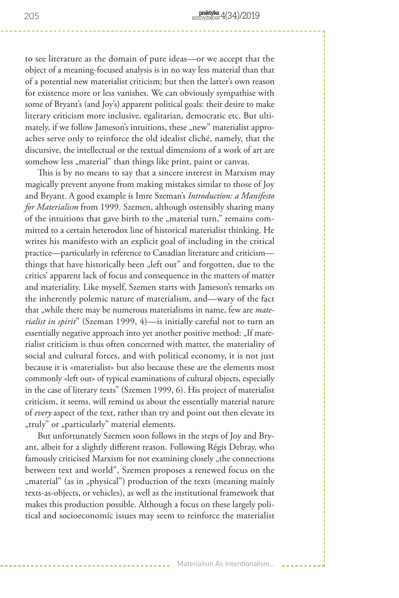to see literature as the domain of pure ideas—or we accept that the object of a meaning-focused analysis is in no way less material than that of a potential new materialist criticism; but then the latter's own reason for existence more or less vanishes. We can obviously sympathise with some of Bryant's (and Joy's) apparent political goals: their desire to make literary criticism more inclusive, egalitarian, democratic etc. But ultimately, if we follow Jameson's intuitions, these "new" materialist approaches serve only to reinforce the old idealist cliché, namely, that the discursive, the intellectual or the textual dimensions of a work of art are somehow less "material" than things like print, paint or canvas.

This is by no means to say that a sincere interest in Marxism may magically prevent anyone from making mistakes similar to those of Joy and Bryant. A good example is Imre Szeman's *Introduction: a Manifesto for Materialism* from 1999. Szemen, although ostensibly sharing many of the intuitions that gave birth to the "material turn," remains committed to a certain heterodox line of historical materialist thinking. He writes his manifesto with an explicit goal of including in the critical practice—particularly in reference to Canadian literature and criticism things that have historically been "left out" and forgotten, due to the critics' apparent lack of focus and consequence in the matters of matter and materiality. Like myself, Szemen starts with Jameson's remarks on the inherently polemic nature of materialism, and—wary of the fact that "while there may be numerous materialisms in name, few are *materialist in spirit*" (Szeman 1999, 4)—is initially careful not to turn an essentially negative approach into yet another positive method: "If materialist criticism is thus often concerned with matter, the materiality of social and cultural forces, and with political economy, it is not just because it is «materialist» but also because these are the elements most commonly «left out» of typical examinations of cultural objects, especially in the case of literary texts" (Szemen 1999, 6). His project of materialist criticism, it seems, will remind us about the essentially material nature of *every* aspect of the text, rather than try and point out then elevate its "truly" or "particularly" material elements.

But unfortunately Szemen soon follows in the steps of Joy and Bryant, albeit for a slightly different reason. Following Régis Debray, who famously criticised Marxism for not examining closely "the connections between text and world", Szemen proposes a renewed focus on the "material" (as in "physical") production of the texts (meaning mainly texts-as-objects, or vehicles), as well as the institutional framework that makes this production possible. Although a focus on these largely political and socioeconomic issues may seem to reinforce the materialist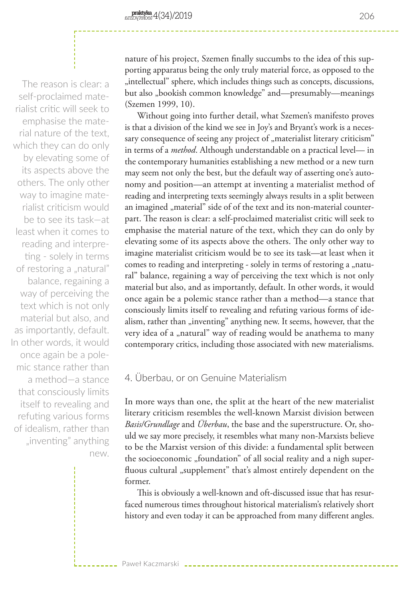The reason is clear: a self-proclaimed materialist critic will seek to emphasise the material nature of the text, which they can do only by elevating some of its aspects above the others. The only other way to imagine materialist criticism would be to see its task—at least when it comes to reading and interpreting - solely in terms of restoring a "natural" balance, regaining a way of perceiving the text which is not only material but also, and as importantly, default. In other words, it would once again be a polemic stance rather than a method—a stance that consciously limits itself to revealing and refuting various forms of idealism, rather than "inventing" anything new.

nature of his project, Szemen finally succumbs to the idea of this supporting apparatus being the only truly material force, as opposed to the "intellectual" sphere, which includes things such as concepts, discussions, but also "bookish common knowledge" and—presumably—meanings (Szemen 1999, 10).

Without going into further detail, what Szemen's manifesto proves is that a division of the kind we see in Joy's and Bryant's work is a necessary consequence of seeing any project of "materialist literary criticism" in terms of a *method*. Although understandable on a practical level— in the contemporary humanities establishing a new method or a new turn may seem not only the best, but the default way of asserting one's autonomy and position—an attempt at inventing a materialist method of reading and interpreting texts seemingly always results in a split between an imagined "material" side of of the text and its non-material counterpart. The reason is clear: a self-proclaimed materialist critic will seek to emphasise the material nature of the text, which they can do only by elevating some of its aspects above the others. The only other way to imagine materialist criticism would be to see its task—at least when it comes to reading and interpreting - solely in terms of restoring a "natural" balance, regaining a way of perceiving the text which is not only material but also, and as importantly, default. In other words, it would once again be a polemic stance rather than a method—a stance that consciously limits itself to revealing and refuting various forms of idealism, rather than "inventing" anything new. It seems, however, that the very idea of a "natural" way of reading would be anathema to many contemporary critics, including those associated with new materialisms.

## 4. Überbau, or on Genuine Materialism

Paweł Kaczmarski

In more ways than one, the split at the heart of the new materialist literary criticism resembles the well-known Marxist division between *Basis/Grundlage* and *Überbau*, the base and the superstructure. Or, should we say more precisely, it resembles what many non-Marxists believe to be the Marxist version of this divide: a fundamental split between the socioeconomic "foundation" of all social reality and a nigh superfluous cultural "supplement" that's almost entirely dependent on the former.

This is obviously a well-known and oft-discussed issue that has resurfaced numerous times throughout historical materialism's relatively short history and even today it can be approached from many different angles.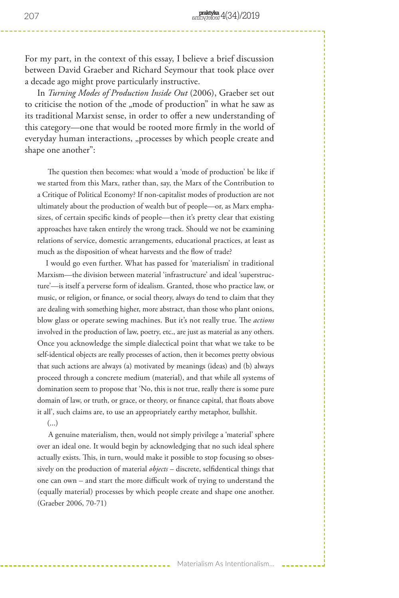For my part, in the context of this essay, I believe a brief discussion between David Graeber and Richard Seymour that took place over a decade ago might prove particularly instructive.

In *Turning Modes of Production Inside Out* (2006), Graeber set out to criticise the notion of the "mode of production" in what he saw as its traditional Marxist sense, in order to offer a new understanding of this category—one that would be rooted more firmly in the world of everyday human interactions, "processes by which people create and shape one another":

 The question then becomes: what would a 'mode of production' be like if we started from this Marx, rather than, say, the Marx of the Contribution to a Critique of Political Economy? If non-capitalist modes of production are not ultimately about the production of wealth but of people—or, as Marx emphasizes, of certain specific kinds of people—then it's pretty clear that existing approaches have taken entirely the wrong track. Should we not be examining relations of service, domestic arrangements, educational practices, at least as much as the disposition of wheat harvests and the flow of trade?

 I would go even further. What has passed for 'materialism' in traditional Marxism—the division between material 'infrastructure' and ideal 'superstructure'—is itself a perverse form of idealism. Granted, those who practice law, or music, or religion, or finance, or social theory, always do tend to claim that they are dealing with something higher, more abstract, than those who plant onions, blow glass or operate sewing machines. But it's not really true. The *actions* involved in the production of law, poetry, etc., are just as material as any others. Once you acknowledge the simple dialectical point that what we take to be self-identical objects are really processes of action, then it becomes pretty obvious that such actions are always (a) motivated by meanings (ideas) and (b) always proceed through a concrete medium (material), and that while all systems of domination seem to propose that 'No, this is not true, really there is some pure domain of law, or truth, or grace, or theory, or finance capital, that floats above it all', such claims are, to use an appropriately earthy metaphor, bullshit.

 $\left( \ldots \right)$ 

 A genuine materialism, then, would not simply privilege a 'material' sphere over an ideal one. It would begin by acknowledging that no such ideal sphere actually exists. This, in turn, would make it possible to stop focusing so obsessively on the production of material *objects* – discrete, selfidentical things that one can own – and start the more difficult work of trying to understand the (equally material) processes by which people create and shape one another. (Graeber 2006, 70-71)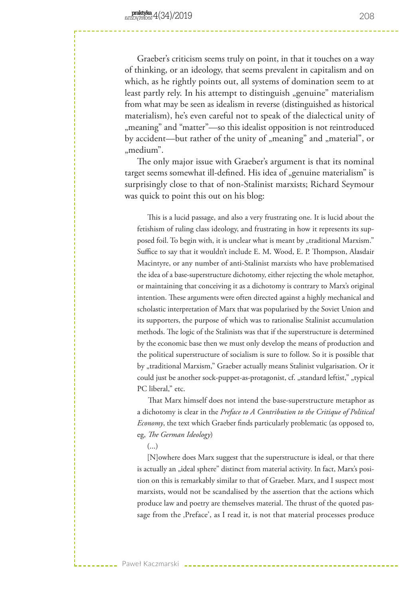Graeber's criticism seems truly on point, in that it touches on a way of thinking, or an ideology, that seems prevalent in capitalism and on which, as he rightly points out, all systems of domination seem to at least partly rely. In his attempt to distinguish "genuine" materialism from what may be seen as idealism in reverse (distinguished as historical materialism), he's even careful not to speak of the dialectical unity of "meaning" and "matter"—so this idealist opposition is not reintroduced by accident—but rather of the unity of "meaning" and "material", or "medium".

The only major issue with Graeber's argument is that its nominal target seems somewhat ill-defined. His idea of "genuine materialism" is surprisingly close to that of non-Stalinist marxists; Richard Seymour was quick to point this out on his blog:

 This is a lucid passage, and also a very frustrating one. It is lucid about the fetishism of ruling class ideology, and frustrating in how it represents its supposed foil. To begin with, it is unclear what is meant by "traditional Marxism." Suffice to say that it wouldn't include E. M. Wood, E. P. Thompson, Alasdair Macintyre, or any number of anti-Stalinist marxists who have problematised the idea of a base-superstructure dichotomy, either rejecting the whole metaphor, or maintaining that conceiving it as a dichotomy is contrary to Marx's original intention. These arguments were often directed against a highly mechanical and scholastic interpretation of Marx that was popularised by the Soviet Union and its supporters, the purpose of which was to rationalise Stalinist accumulation methods. The logic of the Stalinists was that if the superstructure is determined by the economic base then we must only develop the means of production and the political superstructure of socialism is sure to follow. So it is possible that by "traditional Marxism," Graeber actually means Stalinist vulgarisation. Or it could just be another sock-puppet-as-protagonist, cf. "standard leftist," "typical PC liberal," etc.

 That Marx himself does not intend the base-superstructure metaphor as a dichotomy is clear in the *Preface to A Contribution to the Critique of Political Economy*, the text which Graeber finds particularly problematic (as opposed to, eg, *The German Ideology*)

(...)

 [N]owhere does Marx suggest that the superstructure is ideal, or that there is actually an "ideal sphere" distinct from material activity. In fact, Marx's position on this is remarkably similar to that of Graeber. Marx, and I suspect most marxists, would not be scandalised by the assertion that the actions which produce law and poetry are themselves material. The thrust of the quoted passage from the ,Preface', as I read it, is not that material processes produce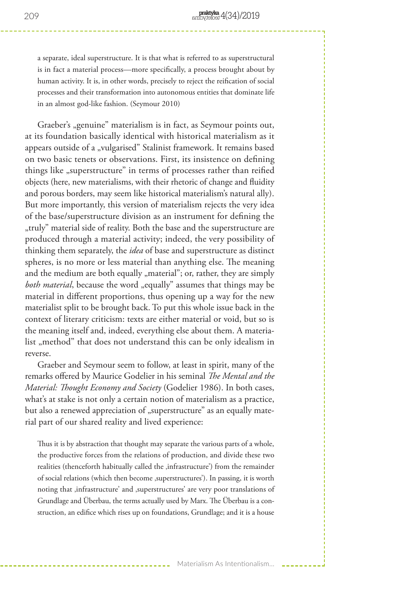a separate, ideal superstructure. It is that what is referred to as superstructural is in fact a material process—more specifically, a process brought about by human activity. It is, in other words, precisely to reject the reification of social processes and their transformation into autonomous entities that dominate life in an almost god-like fashion. (Seymour 2010)

Graeber's "genuine" materialism is in fact, as Seymour points out, at its foundation basically identical with historical materialism as it appears outside of a "vulgarised" Stalinist framework. It remains based on two basic tenets or observations. First, its insistence on defining things like "superstructure" in terms of processes rather than reified objects (here, new materialisms, with their rhetoric of change and fluidity and porous borders, may seem like historical materialism's natural ally). But more importantly, this version of materialism rejects the very idea of the base/superstructure division as an instrument for defining the "truly" material side of reality. Both the base and the superstructure are produced through a material activity; indeed, the very possibility of thinking them separately, the *idea* of base and superstructure as distinct spheres, is no more or less material than anything else. The meaning and the medium are both equally "material"; or, rather, they are simply *both material*, because the word "equally" assumes that things may be material in different proportions, thus opening up a way for the new materialist split to be brought back. To put this whole issue back in the context of literary criticism: texts are either material or void, but so is the meaning itself and, indeed, everything else about them. A materialist "method" that does not understand this can be only idealism in reverse.

Graeber and Seymour seem to follow, at least in spirit, many of the remarks offered by Maurice Godelier in his seminal *The Mental and the Material: Thought Economy and Society* (Godelier 1986). In both cases, what's at stake is not only a certain notion of materialism as a practice, but also a renewed appreciation of "superstructure" as an equally material part of our shared reality and lived experience:

Thus it is by abstraction that thought may separate the various parts of a whole, the productive forces from the relations of production, and divide these two realities (thenceforth habitually called the ,infrastructure') from the remainder of social relations (which then become , superstructures'). In passing, it is worth noting that ,infrastructure' and ,superstructures' are very poor translations of Grundlage and Überbau, the terms actually used by Marx. The Überbau is a construction, an edifice which rises up on foundations, Grundlage; and it is a house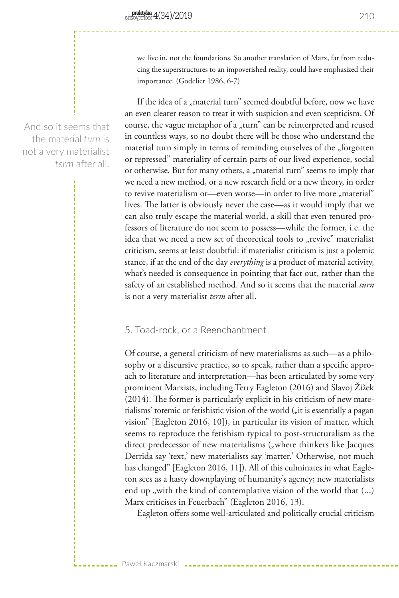we live in, not the foundations. So another translation of Marx, far from reducing the superstructures to an impoverished reality, could have emphasized their importance. (Godelier 1986, 6-7)

If the idea of a "material turn" seemed doubtful before, now we have an even clearer reason to treat it with suspicion and even scepticism. Of course, the vague metaphor of a "turn" can be reinterpreted and reused in countless ways, so no doubt there will be those who understand the material turn simply in terms of reminding ourselves of the "forgotten or repressed" materiality of certain parts of our lived experience, social or otherwise. But for many others, a "material turn" seems to imply that we need a new method, or a new research field or a new theory, in order to revive materialism or—even worse—in order to live more "material" lives. The latter is obviously never the case—as it would imply that we can also truly escape the material world, a skill that even tenured professors of literature do not seem to possess—while the former, i.e. the idea that we need a new set of theoretical tools to "revive" materialist criticism, seems at least doubtful: if materialist criticism is just a polemic stance, if at the end of the day *everything* is a product of material activity, what's needed is consequence in pointing that fact out, rather than the safety of an established method. And so it seems that the material *turn* is not a very materialist *term* after all.

## 5. Toad-rock, or a Reenchantment

Paweł Kaczmarski

Of course, a general criticism of new materialisms as such—as a philosophy or a discursive practice, so to speak, rather than a specific approach to literature and interpretation—has been articulated by some very prominent Marxists, including Terry Eagleton (2016) and Slavoj Žižek (2014). The former is particularly explicit in his criticism of new materialisms' totemic or fetishistic vision of the world ("it is essentially a pagan vision" [Eagleton 2016, 10]), in particular its vision of matter, which seems to reproduce the fetishism typical to post-structuralism as the direct predecessor of new materialisms ("where thinkers like Jacques Derrida say 'text,' new materialists say 'matter.' Otherwise, not much has changed" [Eagleton 2016, 11]). All of this culminates in what Eagleton sees as a hasty downplaying of humanity's agency; new materialists end up , with the kind of contemplative vision of the world that (...) Marx criticises in Feuerbach" (Eagleton 2016, 13).

Eagleton offers some well-articulated and politically crucial criticism

And so it seems that the material *turn* is not a very materialist *term* after all.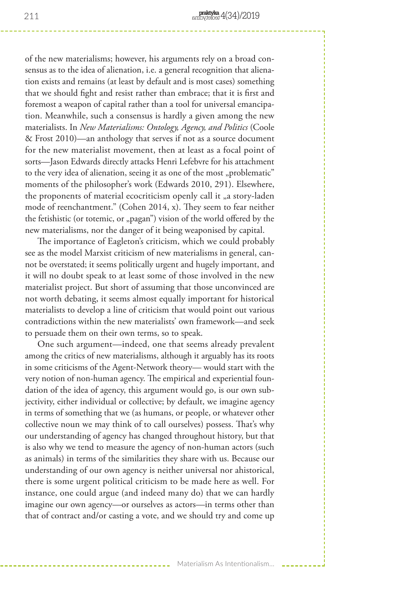of the new materialisms; however, his arguments rely on a broad consensus as to the idea of alienation, i.e. a general recognition that alienation exists and remains (at least by default and is most cases) something that we should fight and resist rather than embrace; that it is first and foremost a weapon of capital rather than a tool for universal emancipation. Meanwhile, such a consensus is hardly a given among the new materialists. In *New Materialisms: Ontology, Agency, and Politics* (Coole & Frost 2010)—an anthology that serves if not as a source document for the new materialist movement, then at least as a focal point of sorts—Jason Edwards directly attacks Henri Lefebvre for his attachment to the very idea of alienation, seeing it as one of the most "problematic" moments of the philosopher's work (Edwards 2010, 291). Elsewhere, the proponents of material ecocriticism openly call it "a story-laden mode of reenchantment." (Cohen 2014, x). They seem to fear neither the fetishistic (or totemic, or "pagan") vision of the world offered by the new materialisms, nor the danger of it being weaponised by capital.

The importance of Eagleton's criticism, which we could probably see as the model Marxist criticism of new materialisms in general, cannot be overstated; it seems politically urgent and hugely important, and it will no doubt speak to at least some of those involved in the new materialist project. But short of assuming that those unconvinced are not worth debating, it seems almost equally important for historical materialists to develop a line of criticism that would point out various contradictions within the new materialists' own framework—and seek to persuade them on their own terms, so to speak.

One such argument—indeed, one that seems already prevalent among the critics of new materialisms, although it arguably has its roots in some criticisms of the Agent-Network theory— would start with the very notion of non-human agency. The empirical and experiential foundation of the idea of agency, this argument would go, is our own subjectivity, either individual or collective; by default, we imagine agency in terms of something that we (as humans, or people, or whatever other collective noun we may think of to call ourselves) possess. That's why our understanding of agency has changed throughout history, but that is also why we tend to measure the agency of non-human actors (such as animals) in terms of the similarities they share with us. Because our understanding of our own agency is neither universal nor ahistorical, there is some urgent political criticism to be made here as well. For instance, one could argue (and indeed many do) that we can hardly imagine our own agency—or ourselves as actors—in terms other than that of contract and/or casting a vote, and we should try and come up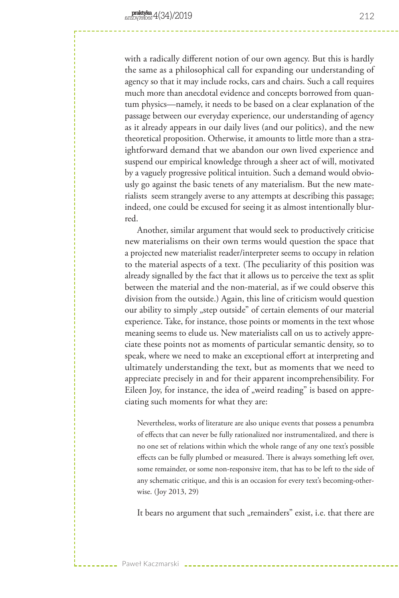with a radically different notion of our own agency. But this is hardly the same as a philosophical call for expanding our understanding of agency so that it may include rocks, cars and chairs. Such a call requires much more than anecdotal evidence and concepts borrowed from quantum physics—namely, it needs to be based on a clear explanation of the passage between our everyday experience, our understanding of agency as it already appears in our daily lives (and our politics), and the new theoretical proposition. Otherwise, it amounts to little more than a straightforward demand that we abandon our own lived experience and suspend our empirical knowledge through a sheer act of will, motivated by a vaguely progressive political intuition. Such a demand would obviously go against the basic tenets of any materialism. But the new materialists seem strangely averse to any attempts at describing this passage; indeed, one could be excused for seeing it as almost intentionally blurred.

Another, similar argument that would seek to productively criticise new materialisms on their own terms would question the space that a projected new materialist reader/interpreter seems to occupy in relation to the material aspects of a text. (The peculiarity of this position was already signalled by the fact that it allows us to perceive the text as split between the material and the non-material, as if we could observe this division from the outside.) Again, this line of criticism would question our ability to simply "step outside" of certain elements of our material experience. Take, for instance, those points or moments in the text whose meaning seems to elude us. New materialists call on us to actively appreciate these points not as moments of particular semantic density, so to speak, where we need to make an exceptional effort at interpreting and ultimately understanding the text, but as moments that we need to appreciate precisely in and for their apparent incomprehensibility. For Eileen Joy, for instance, the idea of "weird reading" is based on appreciating such moments for what they are:

Nevertheless, works of literature are also unique events that possess a penumbra of effects that can never be fully rationalized nor instrumentalized, and there is no one set of relations within which the whole range of any one text's possible effects can be fully plumbed or measured. There is always something left over, some remainder, or some non-responsive item, that has to be left to the side of any schematic critique, and this is an occasion for every text's becoming-otherwise. (Joy 2013, 29)

It bears no argument that such "remainders" exist, i.e. that there are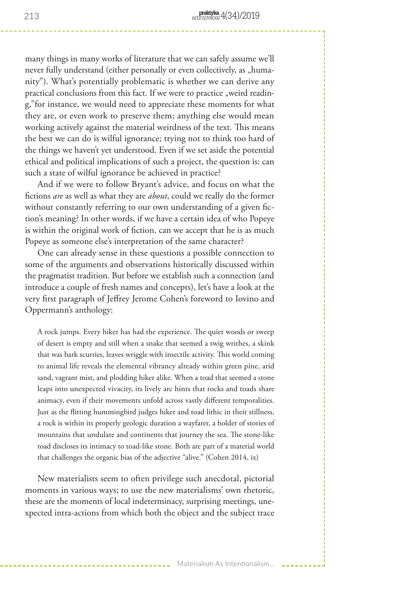many things in many works of literature that we can safely assume we'll never fully understand (either personally or even collectively, as "humanity"). What's potentially problematic is whether we can derive any practical conclusions from this fact. If we were to practice "weird reading,"for instance, we would need to appreciate these moments for what they are, or even work to preserve them; anything else would mean working actively against the material weirdness of the text. This means the best we can do is wilful ignorance; trying not to think too hard of the things we haven't yet understood. Even if we set aside the potential ethical and political implications of such a project, the question is: can such a state of wilful ignorance be achieved in practice?

And if we were to follow Bryant's advice, and focus on what the fictions *are* as well as what they are *about*, could we really do the former without constantly referring to our own understanding of a given fiction's meaning? In other words, if we have a certain idea of who Popeye is within the original work of fiction, can we accept that he is as much Popeye as someone else's interpretation of the same character?

One can already sense in these questions a possible connection to some of the arguments and observations historically discussed within the pragmatist tradition. But before we establish such a connection (and introduce a couple of fresh names and concepts), let's have a look at the very first paragraph of Jeffrey Jerome Cohen's foreword to Iovino and Oppermann's anthology:

A rock jumps. Every hiker has had the experience. The quiet woods or sweep of desert is empty and still when a snake that seemed a twig writhes, a skink that was bark scurries, leaves wriggle with insectile activity. This world coming to animal life reveals the elemental vibrancy already within green pine, arid sand, vagrant mist, and plodding hiker alike. When a toad that seemed a stone leaps into unexpected vivacity, its lively arc hints that rocks and toads share animacy, even if their movements unfold across vastly different temporalities. Just as the flitting hummingbird judges hiker and toad lithic in their stillness, a rock is within its properly geologic duration a wayfarer, a holder of stories of mountains that undulate and continents that journey the sea. The stone-like toad discloses its intimacy to toad-like stone. Both are part of a material world that challenges the organic bias of the adjective "alive." (Cohen 2014, ix)

New materialists seem to often privilege such anecdotal, pictorial moments in various ways; to use the new materialisms' own rhetoric, these are the moments of local indeterminacy, surprising meetings, unexpected intra-actions from which both the object and the subject trace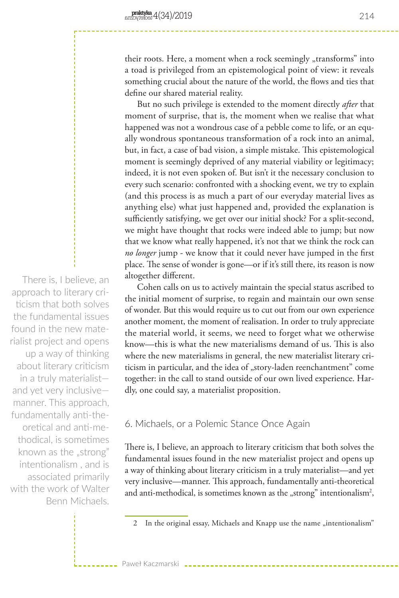their roots. Here, a moment when a rock seemingly "transforms" into a toad is privileged from an epistemological point of view: it reveals something crucial about the nature of the world, the flows and ties that define our shared material reality.

But no such privilege is extended to the moment directly *after* that moment of surprise, that is, the moment when we realise that what happened was not a wondrous case of a pebble come to life, or an equally wondrous spontaneous transformation of a rock into an animal, but, in fact, a case of bad vision, a simple mistake. This epistemological moment is seemingly deprived of any material viability or legitimacy; indeed, it is not even spoken of. But isn't it the necessary conclusion to every such scenario: confronted with a shocking event, we try to explain (and this process is as much a part of our everyday material lives as anything else) what just happened and, provided the explanation is sufficiently satisfying, we get over our initial shock? For a split-second, we might have thought that rocks were indeed able to jump; but now that we know what really happened, it's not that we think the rock can *no longer* jump - we know that it could never have jumped in the first place. The sense of wonder is gone—or if it's still there, its reason is now altogether different.

Cohen calls on us to actively maintain the special status ascribed to the initial moment of surprise, to regain and maintain our own sense of wonder. But this would require us to cut out from our own experience another moment, the moment of realisation. In order to truly appreciate the material world, it seems, we need to forget what we otherwise know—this is what the new materialisms demand of us. This is also where the new materialisms in general, the new materialist literary criticism in particular, and the idea of "story-laden reenchantment" come together: in the call to stand outside of our own lived experience. Hardly, one could say, a materialist proposition.

# 6. Michaels, or a Polemic Stance Once Again

Paweł Kaczmarski

There is, I believe, an approach to literary criticism that both solves the fundamental issues found in the new materialist project and opens up a way of thinking about literary criticism in a truly materialist—and yet very inclusive—manner. This approach, fundamentally anti-theoretical and anti-methodical, is sometimes known as the "strong" intentionalism<sup>2</sup>,

There is, I believe, an approach to literary criticism that both solves the fundamental issues found in the new materialist project and opens up a way of thinking about literary criticism in a truly materialist and yet very inclusive manner. This approach, fundamentally anti-theoretical and anti-methodical, is sometimes known as the "strong" intentionalism , and is associated primarily with the work of Walter Benn Michaels.

<sup>2</sup> In the original essay, Michaels and Knapp use the name "intentionalism"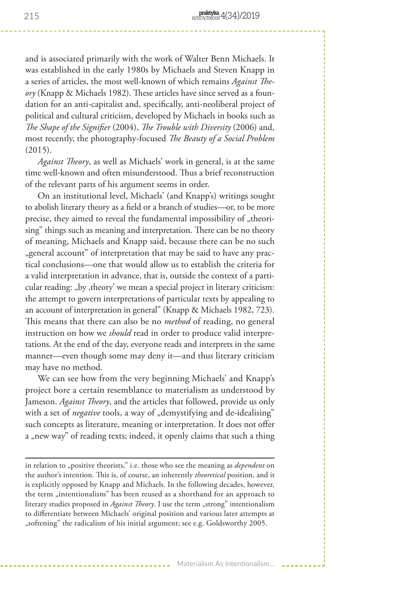and is associated primarily with the work of Walter Benn Michaels. It was established in the early 1980s by Michaels and Steven Knapp in a series of articles, the most well-known of which remains *Against Theory* (Knapp & Michaels 1982). These articles have since served as a foundation for an anti-capitalist and, specifically, anti-neoliberal project of political and cultural criticism, developed by Michaels in books such as *The Shape of the Signifier* (2004), *The Trouble with Diversity* (2006) and, most recently, the photography-focused *The Beauty of a Social Problem* (2015).

*Against Theory*, as well as Michaels' work in general, is at the same time well-known and often misunderstood. Thus a brief reconstruction of the relevant parts of his argument seems in order.

On an institutional level, Michaels' (and Knapp's) writings sought to abolish literary theory as a field or a branch of studies—or, to be more precise, they aimed to reveal the fundamental impossibility of "theorising" things such as meaning and interpretation. There can be no theory of meaning, Michaels and Knapp said, because there can be no such "general account" of interpretation that may be said to have any practical conclusions—one that would allow us to establish the criteria for a valid interpretation in advance, that is, outside the context of a particular reading: "by , theory' we mean a special project in literary criticism: the attempt to govern interpretations of particular texts by appealing to an account of interpretation in general" (Knapp & Michaels 1982, 723). This means that there can also be no *method* of reading, no general instruction on how we *should* read in order to produce valid interpretations. At the end of the day, everyone reads and interprets in the same manner—even though some may deny it—and thus literary criticism may have no method.

We can see how from the very beginning Michaels' and Knapp's project bore a certain resemblance to materialism as understood by Jameson. *Against Theory*, and the articles that followed, provide us only with a set of *negative* tools, a way of "demystifying and de-idealising" such concepts as literature, meaning or interpretation. It does not offer a "new way" of reading texts; indeed, it openly claims that such a thing

in relation to "positive theorists," i.e. those who see the meaning as *dependent* on the author's intention. This is, of course, an inherently *theoretical* position, and it is explicitly opposed by Knapp and Michaels. In the following decades, however, the term "intentionalism" has been reused as a shorthand for an approach to literary studies proposed in *Against Theory*. I use the term "strong" intentionalism to differentiate between Michaels' original position and various later attempts at "softening" the radicalism of his initial argument; see e.g. Goldsworthy 2005.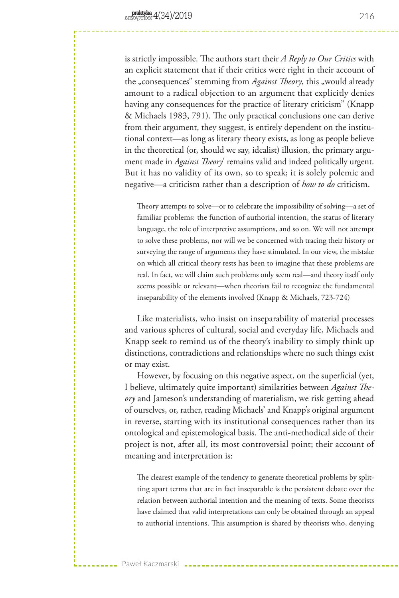is strictly impossible. The authors start their *A Reply to Our Critics* with an explicit statement that if their critics were right in their account of the "consequences" stemming from *Against Theory*, this "would already amount to a radical objection to an argument that explicitly denies having any consequences for the practice of literary criticism" (Knapp & Michaels 1983, 791). The only practical conclusions one can derive from their argument, they suggest, is entirely dependent on the institutional context—as long as literary theory exists, as long as people believe in the theoretical (or, should we say, idealist) illusion, the primary argument made in *Against Theory*' remains valid and indeed politically urgent. But it has no validity of its own, so to speak; it is solely polemic and negative—a criticism rather than a description of *how to do* criticism.

Theory attempts to solve—or to celebrate the impossibility of solving—a set of familiar problems: the function of authorial intention, the status of literary language, the role of interpretive assumptions, and so on. We will not attempt to solve these problems, nor will we be concerned with tracing their history or surveying the range of arguments they have stimulated. In our view, the mistake on which all critical theory rests has been to imagine that these problems are real. In fact, we will claim such problems only seem real—and theory itself only seems possible or relevant—when theorists fail to recognize the fundamental inseparability of the elements involved (Knapp & Michaels, 723-724)

Like materialists, who insist on inseparability of material processes and various spheres of cultural, social and everyday life, Michaels and Knapp seek to remind us of the theory's inability to simply think up distinctions, contradictions and relationships where no such things exist or may exist.

However, by focusing on this negative aspect, on the superficial (yet, I believe, ultimately quite important) similarities between *Against Theory* and Jameson's understanding of materialism, we risk getting ahead of ourselves, or, rather, reading Michaels' and Knapp's original argument in reverse, starting with its institutional consequences rather than its ontological and epistemological basis. The anti-methodical side of their project is not, after all, its most controversial point; their account of meaning and interpretation is:

The clearest example of the tendency to generate theoretical problems by splitting apart terms that are in fact inseparable is the persistent debate over the relation between authorial intention and the meaning of texts. Some theorists have claimed that valid interpretations can only be obtained through an appeal to authorial intentions. This assumption is shared by theorists who, denying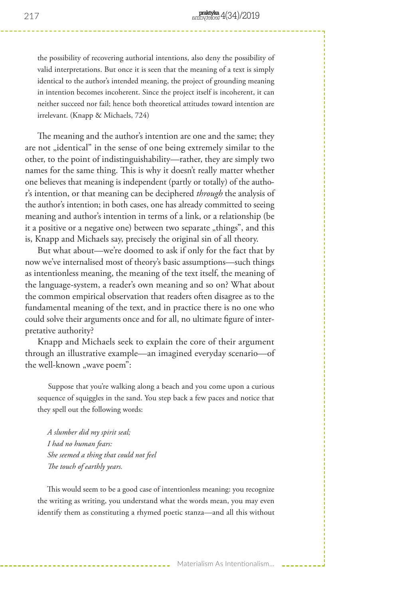the possibility of recovering authorial intentions, also deny the possibility of valid interpretations. But once it is seen that the meaning of a text is simply identical to the author's intended meaning, the project of grounding meaning in intention becomes incoherent. Since the project itself is incoherent, it can neither succeed nor fail; hence both theoretical attitudes toward intention are irrelevant. (Knapp & Michaels, 724)

The meaning and the author's intention are one and the same; they are not "identical" in the sense of one being extremely similar to the other, to the point of indistinguishability—rather, they are simply two names for the same thing. This is why it doesn't really matter whether one believes that meaning is independent (partly or totally) of the author's intention, or that meaning can be deciphered *through* the analysis of the author's intention; in both cases, one has already committed to seeing meaning and author's intention in terms of a link, or a relationship (be it a positive or a negative one) between two separate "things", and this is, Knapp and Michaels say, precisely the original sin of all theory.

But what about—we're doomed to ask if only for the fact that by now we've internalised most of theory's basic assumptions—such things as intentionless meaning, the meaning of the text itself, the meaning of the language-system, a reader's own meaning and so on? What about the common empirical observation that readers often disagree as to the fundamental meaning of the text, and in practice there is no one who could solve their arguments once and for all, no ultimate figure of interpretative authority?

Knapp and Michaels seek to explain the core of their argument through an illustrative example—an imagined everyday scenario—of the well-known "wave poem":

 Suppose that you're walking along a beach and you come upon a curious sequence of squiggles in the sand. You step back a few paces and notice that they spell out the following words:

 *A slumber did my spirit seal; I had no human fears: She seemed a thing that could not feel The touch of earthly years.* 

This would seem to be a good case of intentionless meaning: you recognize the writing as writing, you understand what the words mean, you may even identify them as constituting a rhymed poetic stanza—and all this without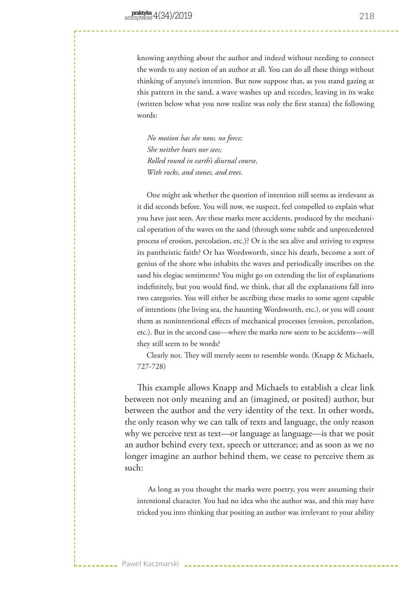knowing anything about the author and indeed without needing to connect the words to any notion of an author at all. You can do all these things without thinking of anyone's intention. But now suppose that, as you stand gazing at this pattern in the sand, a wave washes up and recedes, leaving in its wake (written below what you now realize was only the first stanza) the following words:

 *No motion has she now, no force; She neither hears nor sees; Rolled round in earth's diurnal course, With rocks, and stones, and trees.* 

One might ask whether the question of intention still seems as irrelevant as it did seconds before. You will now, we suspect, feel compelled to explain what you have just seen. Are these marks mere accidents, produced by the mechanical operation of the waves on the sand (through some subtle and unprecedented process of erosion, percolation, etc.)? Or is the sea alive and striving to express its pantheistic faith? Or has Wordsworth, since his death, become a sort of genius of the shore who inhabits the waves and periodically inscribes on the sand his elegiac sentiments? You might go on extending the list of explanations indefinitely, but you would find, we think, that all the explanations fall into two categories. You will either be ascribing these marks to some agent capable of intentions (the living sea, the haunting Wordsworth, etc.), or you will count them as nonintentional effects of mechanical processes (erosion, percolation, etc.). But in the second case—where the marks now seem to be accidents—will they still seem to be words?

 Clearly not. They will merely seem to resemble words. (Knapp & Michaels, 727-728)

This example allows Knapp and Michaels to establish a clear link between not only meaning and an (imagined, or posited) author, but between the author and the very identity of the text. In other words, the only reason why we can talk of texts and language, the only reason why we perceive text as text—or language as language—is that we posit an author behind every text, speech or utterance; and as soon as we no longer imagine an author behind them, we cease to perceive them as such:

 As long as you thought the marks were poetry, you were assuming their intentional character. You had no idea who the author was, and this may have tricked you into thinking that positing an author was irrelevant to your ability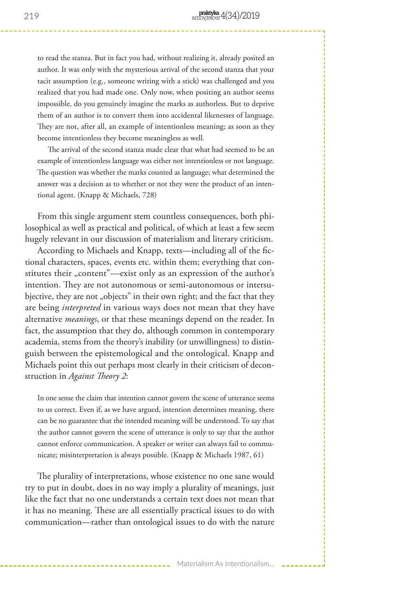to read the stanza. But in fact you had, without realizing it, already posited an author. It was only with the mysterious arrival of the second stanza that your tacit assumption (e.g., someone writing with a stick) was challenged and you realized that you had made one. Only now, when positing an author seems impossible, do you genuinely imagine the marks as authorless. But to deprive them of an author is to convert them into accidental likenesses of language. They are not, after all, an example of intentionless meaning; as soon as they become intentionless they become meaningless as well.

 The arrival of the second stanza made clear that what had seemed to be an example of intentionless language was either not intentionless or not language. The question was whether the marks counted as language; what determined the answer was a decision as to whether or not they were the product of an intentional agent. (Knapp & Michaels, 728)

From this single argument stem countless consequences, both philosophical as well as practical and political, of which at least a few seem hugely relevant in our discussion of materialism and literary criticism.

According to Michaels and Knapp, texts—including all of the fictional characters, spaces, events etc. within them; everything that constitutes their "content"—exist only as an expression of the author's intention. They are not autonomous or semi-autonomous or intersubjective, they are not "objects" in their own right; and the fact that they are being *interpreted* in various ways does not mean that they have alternative *meanings*, or that these meanings depend on the reader. In fact, the assumption that they do, although common in contemporary academia, stems from the theory's inability (or unwillingness) to distinguish between the epistemological and the ontological. Knapp and Michaels point this out perhaps most clearly in their criticism of deconstruction in *Against Theory 2*:

In one sense the claim that intention cannot govern the scene of utterance seems to us correct. Even if, as we have argued, intention determines meaning, there can be no guarantee that the intended meaning will be understood. To say that the author cannot govern the scene of utterance is only to say that the author cannot enforce communication. A speaker or writer can always fail to communicate; misinterpretation is always possible. (Knapp & Michaels 1987, 61)

The plurality of interpretations, whose existence no one sane would try to put in doubt, does in no way imply a plurality of meanings, just like the fact that no one understands a certain text does not mean that it has no meaning. These are all essentially practical issues to do with communication—rather than ontological issues to do with the nature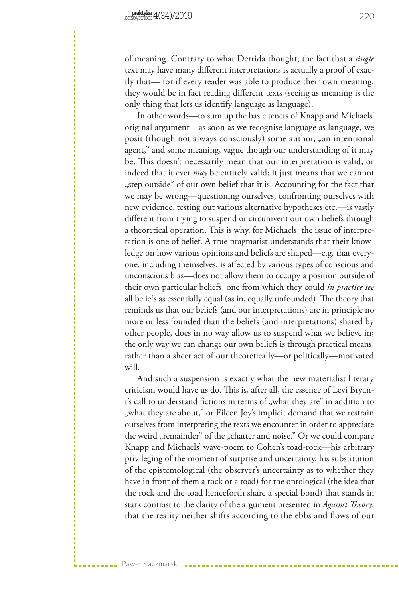of meaning. Contrary to what Derrida thought, the fact that a *single* text may have many different interpretations is actually a proof of exactly that— for if every reader was able to produce their own meaning, they would be in fact reading different texts (seeing as meaning is the only thing that lets us identify language as language).

In other words—to sum up the basic tenets of Knapp and Michaels' original argument—as soon as we recognise language as language, we posit (though not always consciously) some author, "an intentional agent," and some meaning, vague though our understanding of it may be. This doesn't necessarily mean that our interpretation is valid, or indeed that it ever *may* be entirely valid; it just means that we cannot "step outside" of our own belief that it is. Accounting for the fact that we may be wrong—questioning ourselves, confronting ourselves with new evidence, testing out various alternative hypotheses etc.—is vastly different from trying to suspend or circumvent our own beliefs through a theoretical operation. This is why, for Michaels, the issue of interpretation is one of belief. A true pragmatist understands that their knowledge on how various opinions and beliefs are shaped—e.g. that everyone, including themselves, is affected by various types of conscious and unconscious bias—does not allow them to occupy a position outside of their own particular beliefs, one from which they could *in practice see* all beliefs as essentially equal (as in, equally unfounded). The theory that reminds us that our beliefs (and our interpretations) are in principle no more or less founded than the beliefs (and interpretations) shared by other people, does in no way allow us to suspend what we believe in; the only way we can change our own beliefs is through practical means, rather than a sheer act of our theoretically—or politically—motivated will.

And such a suspension is exactly what the new materialist literary criticism would have us do. This is, after all, the essence of Levi Bryant's call to understand fictions in terms of "what they are" in addition to "what they are about," or Eileen Joy's implicit demand that we restrain ourselves from interpreting the texts we encounter in order to appreciate the weird "remainder" of the "chatter and noise." Or we could compare Knapp and Michaels' wave-poem to Cohen's toad-rock—his arbitrary privileging of the moment of surprise and uncertainty, his substitution of the epistemological (the observer's uncertainty as to whether they have in front of them a rock or a toad) for the ontological (the idea that the rock and the toad henceforth share a special bond) that stands in stark contrast to the clarity of the argument presented in *Against Theory*: that the reality neither shifts according to the ebbs and flows of our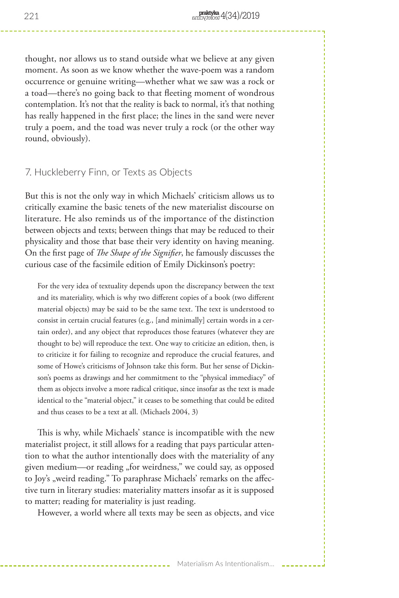thought, nor allows us to stand outside what we believe at any given moment. As soon as we know whether the wave-poem was a random occurrence or genuine writing—whether what we saw was a rock or a toad—there's no going back to that fleeting moment of wondrous contemplation. It's not that the reality is back to normal, it's that nothing has really happened in the first place; the lines in the sand were never truly a poem, and the toad was never truly a rock (or the other way round, obviously).

# 7. Huckleberry Finn, or Texts as Objects

But this is not the only way in which Michaels' criticism allows us to critically examine the basic tenets of the new materialist discourse on literature. He also reminds us of the importance of the distinction between objects and texts; between things that may be reduced to their physicality and those that base their very identity on having meaning. On the first page of *The Shape of the Signifier*, he famously discusses the curious case of the facsimile edition of Emily Dickinson's poetry:

For the very idea of textuality depends upon the discrepancy between the text and its materiality, which is why two different copies of a book (two different material objects) may be said to be the same text. The text is understood to consist in certain crucial features (e.g., [and minimally] certain words in a certain order), and any object that reproduces those features (whatever they are thought to be) will reproduce the text. One way to criticize an edition, then, is to criticize it for failing to recognize and reproduce the crucial features, and some of Howe's criticisms of Johnson take this form. But her sense of Dickinson's poems as drawings and her commitment to the "physical immediacy" of them as objects involve a more radical critique, since insofar as the text is made identical to the "material object," it ceases to be something that could be edited and thus ceases to be a text at all. (Michaels 2004, 3)

This is why, while Michaels' stance is incompatible with the new materialist project, it still allows for a reading that pays particular attention to what the author intentionally does with the materiality of any given medium—or reading "for weirdness," we could say, as opposed to Joy's "weird reading." To paraphrase Michaels' remarks on the affective turn in literary studies: materiality matters insofar as it is supposed to matter; reading for materiality is just reading.

However, a world where all texts may be seen as objects, and vice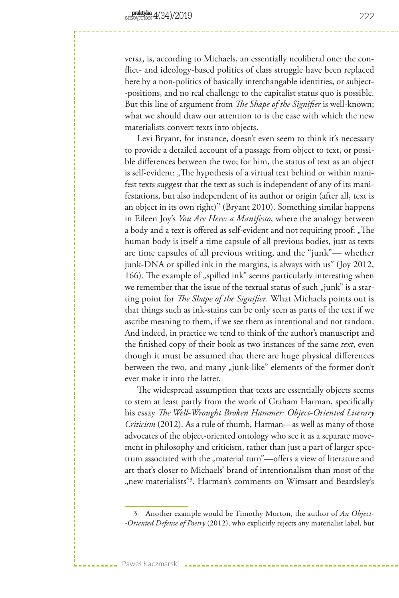versa, is, according to Michaels, an essentially neoliberal one: the conflict- and ideology-based politics of class struggle have been replaced here by a non-politics of basically interchangable identities, or subject- -positions, and no real challenge to the capitalist status quo is possible. But this line of argument from *The Shape of the Signifier* is well-known; what we should draw our attention to is the ease with which the new materialists convert texts into objects.

Levi Bryant, for instance, doesn't even seem to think it's necessary to provide a detailed account of a passage from object to text, or possible differences between the two; for him, the status of text as an object is self-evident: "The hypothesis of a virtual text behind or within manifest texts suggest that the text as such is independent of any of its manifestations, but also independent of its author or origin (after all, text is an object in its own right)" (Bryant 2010). Something similar happens in Eileen Joy's *You Are Here: a Manifesto*, where the analogy between a body and a text is offered as self-evident and not requiring proof: "The human body is itself a time capsule of all previous bodies, just as texts are time capsules of all previous writing, and the "junk"— whether junk-DNA or spilled ink in the margins, is always with us" (Joy 2012, 166). The example of "spilled ink" seems particularly interesting when we remember that the issue of the textual status of such "junk" is a starting point for *The Shape of the Signifier*. What Michaels points out is that things such as ink-stains can be only seen as parts of the text if we ascribe meaning to them, if we see them as intentional and not random. And indeed, in practice we tend to think of the author's manuscript and the finished copy of their book as two instances of the same *text*, even though it must be assumed that there are huge physical differences between the two, and many "junk-like" elements of the former don't ever make it into the latter.

The widespread assumption that texts are essentially objects seems to stem at least partly from the work of Graham Harman, specifically his essay *The Well-Wrought Broken Hammer: Object-Oriented Literary Criticism* (2012). As a rule of thumb, Harman—as well as many of those advocates of the object-oriented ontology who see it as a separate movement in philosophy and criticism, rather than just a part of larger spectrum associated with the "material turn"—offers a view of literature and art that's closer to Michaels' brand of intentionalism than most of the "new materialists"<sup>3</sup>. Harman's comments on Wimsatt and Beardsley's

Paweł Kaczmarski

222

<sup>3</sup> Another example would be Timothy Morton, the author of *An Object- -Oriented Defense of Poetry* (2012), who explicitly rejects any materialist label, but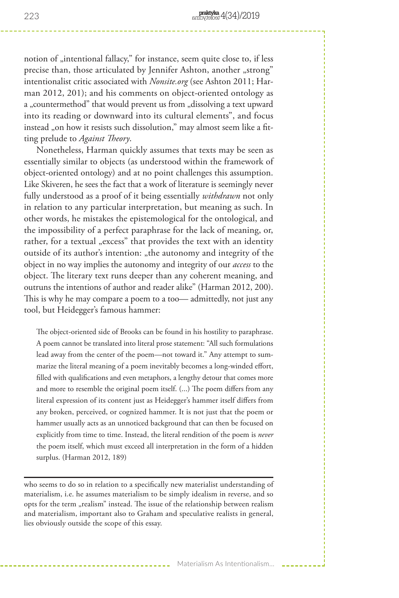notion of "intentional fallacy," for instance, seem quite close to, if less precise than, those articulated by Jennifer Ashton, another "strong" intentionalist critic associated with *Nonsite.org* (see Ashton 2011; Harman 2012, 201); and his comments on object-oriented ontology as a "countermethod" that would prevent us from "dissolving a text upward into its reading or downward into its cultural elements", and focus instead "on how it resists such dissolution," may almost seem like a fitting prelude to *Against Theory*.

Nonetheless, Harman quickly assumes that texts may be seen as essentially similar to objects (as understood within the framework of object-oriented ontology) and at no point challenges this assumption. Like Skiveren, he sees the fact that a work of literature is seemingly never fully understood as a proof of it being essentially *withdrawn* not only in relation to any particular interpretation, but meaning as such. In other words, he mistakes the epistemological for the ontological, and the impossibility of a perfect paraphrase for the lack of meaning, or, rather, for a textual "excess" that provides the text with an identity outside of its author's intention: "the autonomy and integrity of the object in no way implies the autonomy and integrity of our *access* to the object. The literary text runs deeper than any coherent meaning, and outruns the intentions of author and reader alike" (Harman 2012, 200). This is why he may compare a poem to a too— admittedly, not just any tool, but Heidegger's famous hammer:

The object-oriented side of Brooks can be found in his hostility to paraphrase. A poem cannot be translated into literal prose statement: "All such formulations lead away from the center of the poem—not toward it." Any attempt to summarize the literal meaning of a poem inevitably becomes a long-winded effort, filled with qualifications and even metaphors, a lengthy detour that comes more and more to resemble the original poem itself. (...) The poem differs from any literal expression of its content just as Heidegger's hammer itself differs from any broken, perceived, or cognized hammer. It is not just that the poem or hammer usually acts as an unnoticed background that can then be focused on explicitly from time to time. Instead, the literal rendition of the poem is *never* the poem itself, which must exceed all interpretation in the form of a hidden surplus. (Harman 2012, 189)

who seems to do so in relation to a specifically new materialist understanding of materialism, i.e. he assumes materialism to be simply idealism in reverse, and so opts for the term "realism" instead. The issue of the relationship between realism and materialism, important also to Graham and speculative realists in general, lies obviously outside the scope of this essay.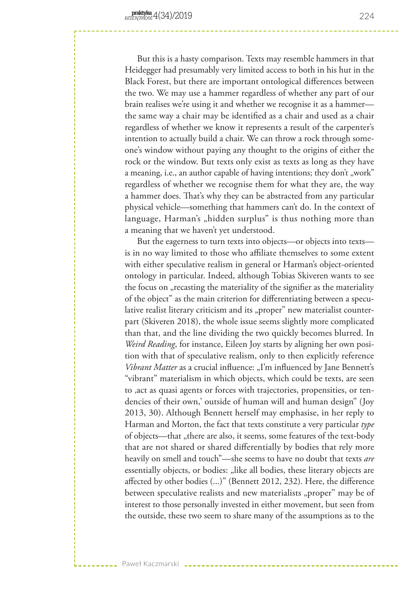But this is a hasty comparison. Texts may resemble hammers in that Heidegger had presumably very limited access to both in his hut in the Black Forest, but there are important ontological differences between the two. We may use a hammer regardless of whether any part of our brain realises we're using it and whether we recognise it as a hammer the same way a chair may be identified as a chair and used as a chair regardless of whether we know it represents a result of the carpenter's intention to actually build a chair. We can throw a rock through someone's window without paying any thought to the origins of either the rock or the window. But texts only exist as texts as long as they have a meaning, i.e., an author capable of having intentions; they don't "work" regardless of whether we recognise them for what they are, the way a hammer does. That's why they can be abstracted from any particular physical vehicle—something that hammers can't do. In the context of language, Harman's "hidden surplus" is thus nothing more than a meaning that we haven't yet understood.

But the eagerness to turn texts into objects—or objects into texts is in no way limited to those who affiliate themselves to some extent with either speculative realism in general or Harman's object-oriented ontology in particular. Indeed, although Tobias Skiveren wants to see the focus on "recasting the materiality of the signifier as the materiality of the object" as the main criterion for differentiating between a speculative realist literary criticism and its "proper" new materialist counterpart (Skiveren 2018), the whole issue seems slightly more complicated than that, and the line dividing the two quickly becomes blurred. In *Weird Reading*, for instance, Eileen Joy starts by aligning her own position with that of speculative realism, only to then explicitly reference *Vibrant Matter* as a crucial influence: "I'm influenced by Jane Bennett's "vibrant" materialism in which objects, which could be texts, are seen to , act as quasi agents or forces with trajectories, propensities, or tendencies of their own,' outside of human will and human design" (Joy 2013, 30). Although Bennett herself may emphasise, in her reply to Harman and Morton, the fact that texts constitute a very particular *type* of objects—that "there are also, it seems, some features of the text-body that are not shared or shared differentially by bodies that rely more heavily on smell and touch"—she seems to have no doubt that texts *are* essentially objects, or bodies: "like all bodies, these literary objects are affected by other bodies (...)" (Bennett 2012, 232). Here, the difference between speculative realists and new materialists "proper" may be of interest to those personally invested in either movement, but seen from the outside, these two seem to share many of the assumptions as to the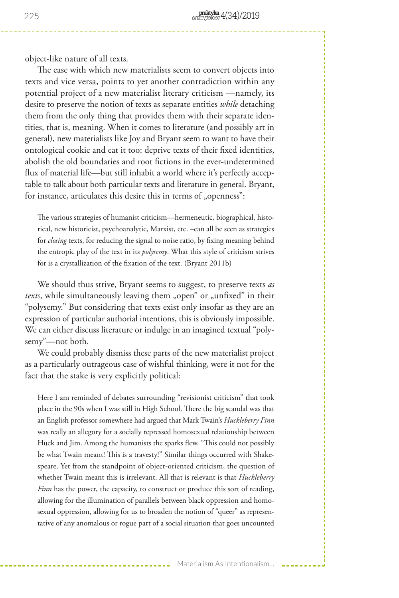object-like nature of all texts.

The ease with which new materialists seem to convert objects into texts and vice versa, points to yet another contradiction within any potential project of a new materialist literary criticism —namely, its desire to preserve the notion of texts as separate entities *while* detaching them from the only thing that provides them with their separate identities, that is, meaning. When it comes to literature (and possibly art in general), new materialists like Joy and Bryant seem to want to have their ontological cookie and eat it too: deprive texts of their fixed identities, abolish the old boundaries and root fictions in the ever-undetermined flux of material life—but still inhabit a world where it's perfectly acceptable to talk about both particular texts and literature in general. Bryant, for instance, articulates this desire this in terms of "openness":

The various strategies of humanist criticism—hermeneutic, biographical, historical, new historicist, psychoanalytic, Marxist, etc. –can all be seen as strategies for *closing* texts, for reducing the signal to noise ratio, by fixing meaning behind the entropic play of the text in its *polysemy*. What this style of criticism strives for is a crystallization of the fixation of the text. (Bryant 2011b)

We should thus strive, Bryant seems to suggest, to preserve texts *as texts*, while simultaneously leaving them "open" or "unfixed" in their "polysemy." But considering that texts exist only insofar as they are an expression of particular authorial intentions, this is obviously impossible. We can either discuss literature or indulge in an imagined textual "polysemy"—not both.

We could probably dismiss these parts of the new materialist project as a particularly outrageous case of wishful thinking, were it not for the fact that the stake is very explicitly political:

Here I am reminded of debates surrounding "revisionist criticism" that took place in the 90s when I was still in High School. There the big scandal was that an English professor somewhere had argued that Mark Twain's *Huckleberry Finn* was really an allegory for a socially repressed homosexual relationship between Huck and Jim. Among the humanists the sparks flew. "This could not possibly be what Twain meant! This is a travesty!" Similar things occurred with Shakespeare. Yet from the standpoint of object-oriented criticism, the question of whether Twain meant this is irrelevant. All that is relevant is that *Huckleberry Finn* has the power, the capacity, to construct or produce this sort of reading, allowing for the illumination of parallels between black oppression and homosexual oppression, allowing for us to broaden the notion of "queer" as representative of any anomalous or rogue part of a social situation that goes uncounted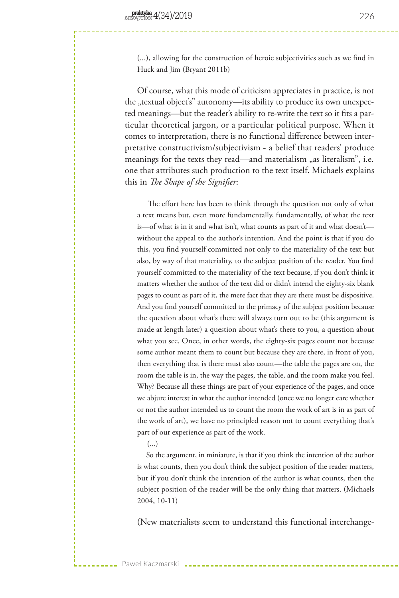(...), allowing for the construction of heroic subjectivities such as we find in Huck and Jim (Bryant 2011b)

Of course, what this mode of criticism appreciates in practice, is not the "textual object's" autonomy—its ability to produce its own unexpected meanings—but the reader's ability to re-write the text so it fits a particular theoretical jargon, or a particular political purpose. When it comes to interpretation, there is no functional difference between interpretative constructivism/subjectivism - a belief that readers' produce meanings for the texts they read—and materialism "as literalism", i.e. one that attributes such production to the text itself. Michaels explains this in *The Shape of the Signifier*:

 The effort here has been to think through the question not only of what a text means but, even more fundamentally, fundamentally, of what the text is—of what is in it and what isn't, what counts as part of it and what doesn't without the appeal to the author's intention. And the point is that if you do this, you find yourself committed not only to the materiality of the text but also, by way of that materiality, to the subject position of the reader. You find yourself committed to the materiality of the text because, if you don't think it matters whether the author of the text did or didn't intend the eighty-six blank pages to count as part of it, the mere fact that they are there must be dispositive. And you find yourself committed to the primacy of the subject position because the question about what's there will always turn out to be (this argument is made at length later) a question about what's there to you, a question about what you see. Once, in other words, the eighty-six pages count not because some author meant them to count but because they are there, in front of you, then everything that is there must also count—the table the pages are on, the room the table is in, the way the pages, the table, and the room make you feel. Why? Because all these things are part of your experience of the pages, and once we abjure interest in what the author intended (once we no longer care whether or not the author intended us to count the room the work of art is in as part of the work of art), we have no principled reason not to count everything that's part of our experience as part of the work.

 $\left( \ldots \right)$ 

Paweł Kaczmarski

 So the argument, in miniature, is that if you think the intention of the author is what counts, then you don't think the subject position of the reader matters, but if you don't think the intention of the author is what counts, then the subject position of the reader will be the only thing that matters. (Michaels 2004, 10-11)

(New materialists seem to understand this functional interchange-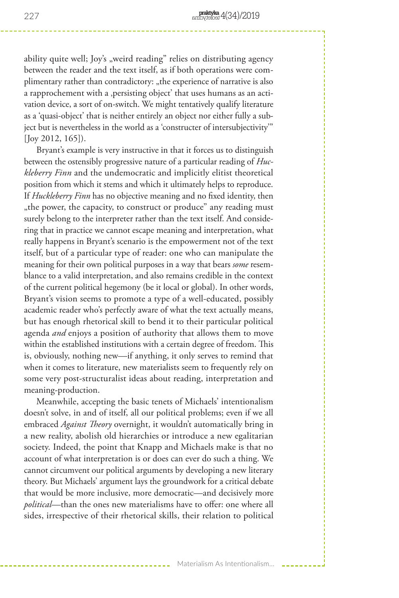ability quite well; Joy's "weird reading" relies on distributing agency between the reader and the text itself, as if both operations were complimentary rather than contradictory: "the experience of narrative is also a rapprochement with a ,persisting object' that uses humans as an activation device, a sort of on-switch. We might tentatively qualify literature as a 'quasi-object' that is neither entirely an object nor either fully a subject but is nevertheless in the world as a 'constructer of intersubjectivity'" [Joy 2012, 165]).

Bryant's example is very instructive in that it forces us to distinguish between the ostensibly progressive nature of a particular reading of *Huckleberry Finn* and the undemocratic and implicitly elitist theoretical position from which it stems and which it ultimately helps to reproduce. If *Huckleberry Finn* has no objective meaning and no fixed identity, then "the power, the capacity, to construct or produce" any reading must surely belong to the interpreter rather than the text itself. And considering that in practice we cannot escape meaning and interpretation, what really happens in Bryant's scenario is the empowerment not of the text itself, but of a particular type of reader: one who can manipulate the meaning for their own political purposes in a way that bears *some* resemblance to a valid interpretation, and also remains credible in the context of the current political hegemony (be it local or global). In other words, Bryant's vision seems to promote a type of a well-educated, possibly academic reader who's perfectly aware of what the text actually means, but has enough rhetorical skill to bend it to their particular political agenda *and* enjoys a position of authority that allows them to move within the established institutions with a certain degree of freedom. This is, obviously, nothing new—if anything, it only serves to remind that when it comes to literature, new materialists seem to frequently rely on some very post-structuralist ideas about reading, interpretation and meaning-production.

Meanwhile, accepting the basic tenets of Michaels' intentionalism doesn't solve, in and of itself, all our political problems; even if we all embraced *Against Theory* overnight, it wouldn't automatically bring in a new reality, abolish old hierarchies or introduce a new egalitarian society. Indeed, the point that Knapp and Michaels make is that no account of what interpretation is or does can ever do such a thing. We cannot circumvent our political arguments by developing a new literary theory. But Michaels' argument lays the groundwork for a critical debate that would be more inclusive, more democratic—and decisively more *political*—than the ones new materialisms have to offer: one where all sides, irrespective of their rhetorical skills, their relation to political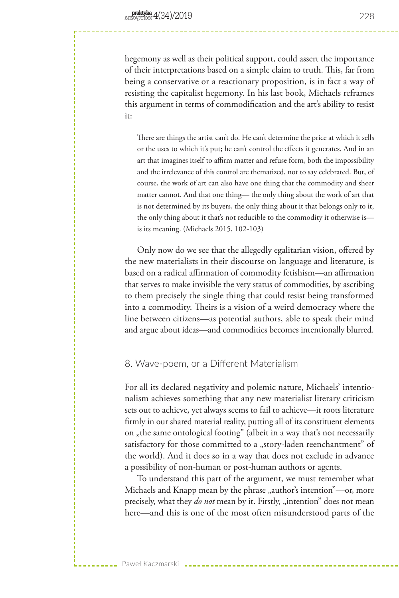hegemony as well as their political support, could assert the importance of their interpretations based on a simple claim to truth. This, far from being a conservative or a reactionary proposition, is in fact a way of resisting the capitalist hegemony. In his last book, Michaels reframes this argument in terms of commodification and the art's ability to resist it:

There are things the artist can't do. He can't determine the price at which it sells or the uses to which it's put; he can't control the effects it generates. And in an art that imagines itself to affirm matter and refuse form, both the impossibility and the irrelevance of this control are thematized, not to say celebrated. But, of course, the work of art can also have one thing that the commodity and sheer matter cannot. And that one thing— the only thing about the work of art that is not determined by its buyers, the only thing about it that belongs only to it, the only thing about it that's not reducible to the commodity it otherwise is is its meaning. (Michaels 2015, 102-103)

Only now do we see that the allegedly egalitarian vision, offered by the new materialists in their discourse on language and literature, is based on a radical affirmation of commodity fetishism—an affirmation that serves to make invisible the very status of commodities, by ascribing to them precisely the single thing that could resist being transformed into a commodity. Theirs is a vision of a weird democracy where the line between citizens—as potential authors, able to speak their mind and argue about ideas—and commodities becomes intentionally blurred.

## 8. Wave-poem, or a Different Materialism

Paweł Kaczmarski

For all its declared negativity and polemic nature, Michaels' intentionalism achieves something that any new materialist literary criticism sets out to achieve, yet always seems to fail to achieve—it roots literature firmly in our shared material reality, putting all of its constituent elements on "the same ontological footing" (albeit in a way that's not necessarily satisfactory for those committed to a "story-laden reenchantment" of the world). And it does so in a way that does not exclude in advance a possibility of non-human or post-human authors or agents.

To understand this part of the argument, we must remember what Michaels and Knapp mean by the phrase "author's intention"—or, more precisely, what they *do not* mean by it. Firstly, "intention" does not mean here—and this is one of the most often misunderstood parts of the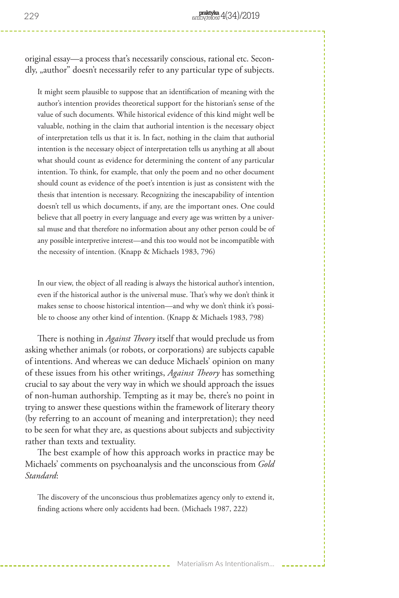original essay—a process that's necessarily conscious, rational etc. Secondly, "author" doesn't necessarily refer to any particular type of subjects.

It might seem plausible to suppose that an identification of meaning with the author's intention provides theoretical support for the historian's sense of the value of such documents. While historical evidence of this kind might well be valuable, nothing in the claim that authorial intention is the necessary object of interpretation tells us that it is. In fact, nothing in the claim that authorial intention is the necessary object of interpretation tells us anything at all about what should count as evidence for determining the content of any particular intention. To think, for example, that only the poem and no other document should count as evidence of the poet's intention is just as consistent with the thesis that intention is necessary. Recognizing the inescapability of intention doesn't tell us which documents, if any, are the important ones. One could believe that all poetry in every language and every age was written by a universal muse and that therefore no information about any other person could be of any possible interpretive interest—and this too would not be incompatible with the necessity of intention. (Knapp & Michaels 1983, 796)

In our view, the object of all reading is always the historical author's intention, even if the historical author is the universal muse. That's why we don't think it makes sense to choose historical intention—and why we don't think it's possible to choose any other kind of intention. (Knapp & Michaels 1983, 798)

There is nothing in *Against Theory* itself that would preclude us from asking whether animals (or robots, or corporations) are subjects capable of intentions. And whereas we can deduce Michaels' opinion on many of these issues from his other writings, *Against Theory* has something crucial to say about the very way in which we should approach the issues of non-human authorship. Tempting as it may be, there's no point in trying to answer these questions within the framework of literary theory (by referring to an account of meaning and interpretation); they need to be seen for what they are, as questions about subjects and subjectivity rather than texts and textuality.

The best example of how this approach works in practice may be Michaels' comments on psychoanalysis and the unconscious from *Gold Standard*:

The discovery of the unconscious thus problematizes agency only to extend it, finding actions where only accidents had been. (Michaels 1987, 222)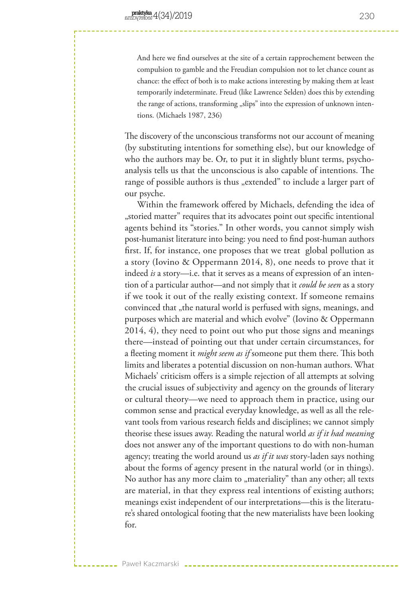Paweł Kaczmarski

And here we find ourselves at the site of a certain rapprochement between the compulsion to gamble and the Freudian compulsion not to let chance count as chance: the effect of both is to make actions interesting by making them at least temporarily indeterminate. Freud (like Lawrence Selden) does this by extending the range of actions, transforming "slips" into the expression of unknown intentions. (Michaels 1987, 236)

The discovery of the unconscious transforms not our account of meaning (by substituting intentions for something else), but our knowledge of who the authors may be. Or, to put it in slightly blunt terms, psychoanalysis tells us that the unconscious is also capable of intentions. The range of possible authors is thus "extended" to include a larger part of our psyche.

Within the framework offered by Michaels, defending the idea of "storied matter" requires that its advocates point out specific intentional agents behind its "stories." In other words, you cannot simply wish post-humanist literature into being: you need to find post-human authors first. If, for instance, one proposes that we treat global pollution as a story (Iovino & Oppermann 2014, 8), one needs to prove that it indeed *is* a story—i.e. that it serves as a means of expression of an intention of a particular author—and not simply that it *could be seen* as a story if we took it out of the really existing context. If someone remains convinced that "the natural world is perfused with signs, meanings, and purposes which are material and which evolve" (Iovino & Oppermann 2014, 4), they need to point out who put those signs and meanings there—instead of pointing out that under certain circumstances, for a fleeting moment it *might seem as if* someone put them there. This both limits and liberates a potential discussion on non-human authors. What Michaels' criticism offers is a simple rejection of all attempts at solving the crucial issues of subjectivity and agency on the grounds of literary or cultural theory—we need to approach them in practice, using our common sense and practical everyday knowledge, as well as all the relevant tools from various research fields and disciplines; we cannot simply theorise these issues away. Reading the natural world *as if it had meaning* does not answer any of the important questions to do with non-human agency; treating the world around us *as if it was* story-laden says nothing about the forms of agency present in the natural world (or in things). No author has any more claim to "materiality" than any other; all texts are material, in that they express real intentions of existing authors; meanings exist independent of our interpretations—this is the literature's shared ontological footing that the new materialists have been looking for.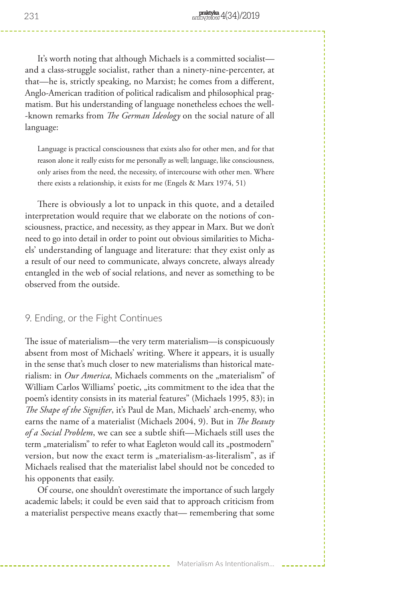It's worth noting that although Michaels is a committed socialist and a class-struggle socialist, rather than a ninety-nine-percenter, at that—he is, strictly speaking, no Marxist; he comes from a different, Anglo-American tradition of political radicalism and philosophical pragmatism. But his understanding of language nonetheless echoes the well- -known remarks from *The German Ideology* on the social nature of all language:

Language is practical consciousness that exists also for other men, and for that reason alone it really exists for me personally as well; language, like consciousness, only arises from the need, the necessity, of intercourse with other men. Where there exists a relationship, it exists for me (Engels & Marx 1974, 51)

There is obviously a lot to unpack in this quote, and a detailed interpretation would require that we elaborate on the notions of consciousness, practice, and necessity, as they appear in Marx. But we don't need to go into detail in order to point out obvious similarities to Michaels' understanding of language and literature: that they exist only as a result of our need to communicate, always concrete, always already entangled in the web of social relations, and never as something to be observed from the outside.

#### 9. Ending, or the Fight Continues

The issue of materialism—the very term materialism—is conspicuously absent from most of Michaels' writing. Where it appears, it is usually in the sense that's much closer to new materialisms than historical materialism: in *Our America*, Michaels comments on the "materialism" of William Carlos Williams' poetic, "its commitment to the idea that the poem's identity consists in its material features" (Michaels 1995, 83); in *The Shape of the Signifier*, it's Paul de Man, Michaels' arch-enemy, who earns the name of a materialist (Michaels 2004, 9). But in *The Beauty of a Social Problem*, we can see a subtle shift—Michaels still uses the term "materialism" to refer to what Eagleton would call its "postmodern" version, but now the exact term is "materialism-as-literalism", as if Michaels realised that the materialist label should not be conceded to his opponents that easily.

Of course, one shouldn't overestimate the importance of such largely academic labels; it could be even said that to approach criticism from a materialist perspective means exactly that— remembering that some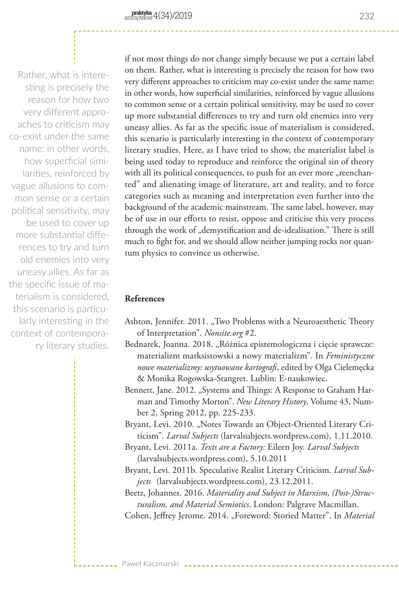Rather, what is interesting is precisely the reason for how two very different approaches to criticism may co-exist under the same name: in other words, how superficial similarities, reinforced by vague allusions to common sense or a certain political sensitivity, may be used to cover up more substantial differences to try and turn old enemies into very uneasy allies. As far as the specific issue of materialism is considered, this scenario is particularly interesting in the context of contemporary literary studies. if not most things do not change simply because we put a certain label on them. Rather, what is interesting is precisely the reason for how two very different approaches to criticism may co-exist under the same name: in other words, how superficial similarities, reinforced by vague allusions to common sense or a certain political sensitivity, may be used to cover up more substantial differences to try and turn old enemies into very uneasy allies. As far as the specific issue of materialism is considered, this scenario is particularly interesting in the context of contemporary literary studies. Here, as I have tried to show, the materialist label is being used today to reproduce and reinforce the original sin of theory with all its political consequences, to push for an ever more "reenchanted" and alienating image of literature, art and reality, and to force categories such as meaning and interpretation even further into the background of the academic mainstream. The same label, however, may be of use in our efforts to resist, oppose and criticise this very process through the work of "demystification and de-idealisation." There is still much to fight for, and we should allow neither jumping rocks nor quantum physics to convince us otherwise.

# **References**

Paweł Kaczmarski

- Ashton, Jennifer. 2011. "Two Problems with a Neuroaesthetic Theory of Interpretation". *Nonsite.org* #2.
- Bednarek, Joanna. 2018. "Różnica epistemologiczna i cięcie sprawcze: materializm marksistowski a nowy materializm". In *Feministyczne nowe materializmy: usytuowane kartografi*, edited by Olga Cielemęcka & Monika Rogowska-Stangret. Lublin: E-naukowiec.
- Bennett, Jane. 2012. "Systems and Things: A Response to Graham Harman and Timothy Morton". *New Literary History*, Volume 43, Number 2, Spring 2012, pp. 225-233.

Bryant, Levi. 2010. "Notes Towards an Object-Oriented Literary Criticism". *Larval Subjects* (larvalsubjects.wordpress.com), 1.11.2010.

- Bryant, Levi. 2011a. *Texts are a Factory:* Eileen Joy. *Larval Subjects*  (larvalsubjects.wordpress.com), 5.10.2011
- Bryant, Levi. 2011b. Speculative Realist Literary Criticism. *Larval Subjects* (larvalsubjects.wordpress.com), 23.12.2011.
- Beetz, Johannes. 2016. *Materiality and Subject in Marxism, (Post-)Structuralism, and Material Semiotics*. London: Palgrave Macmillan.
- Cohen, Jeffrey Jerome. 2014. "Foreword: Storied Matter". In *Material*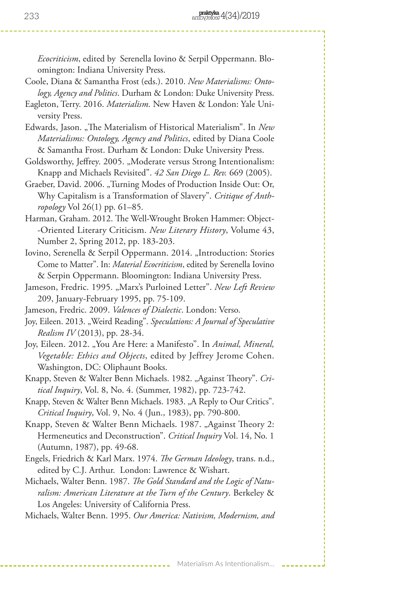*Ecocriticism*, edited by Serenella Iovino & Serpil Oppermann. Bloomington: Indiana University Press.

- Coole, Diana & Samantha Frost (eds.). 2010. *New Materialisms: Ontology, Agency and Politics*. Durham & London: Duke University Press.
- Eagleton, Terry. 2016. *Materialism*. New Haven & London: Yale University Press.
- Edwards, Jason. "The Materialism of Historical Materialism". In *New Materialisms: Ontology, Agency and Politics*, edited by Diana Coole & Samantha Frost. Durham & London: Duke University Press.
- Goldsworthy, Jeffrey. 2005. "Moderate versus Strong Intentionalism: Knapp and Michaels Revisited". *42 San Diego L. Rev.* 669 (2005).
- Graeber, David. 2006. "Turning Modes of Production Inside Out: Or, Why Capitalism is a Transformation of Slavery". *Critique of Anthropology* Vol 26(1) pp. 61–85.
- Harman, Graham. 2012. The Well-Wrought Broken Hammer: Object- -Oriented Literary Criticism. *New Literary History*, Volume 43, Number 2, Spring 2012, pp. 183-203.
- Iovino, Serenella & Serpil Oppermann. 2014. "Introduction: Stories Come to Matter". In: *Material Ecocriticism*, edited by Serenella Iovino & Serpin Oppermann. Bloomington: Indiana University Press.
- Jameson, Fredric. 1995. "Marx's Purloined Letter". *New Left Review* 209, January-February 1995, pp. 75-109.
- Jameson, Fredric. 2009. *Valences of Dialectic*. London: Verso.
- Joy, Eileen. 2013. "Weird Reading". *Speculations: A Journal of Speculative Realism IV* (2013), pp. 28-34.
- Joy, Eileen. 2012. "You Are Here: a Manifesto". In *Animal, Mineral, Vegetable: Ethics and Objects*, edited by Jeffrey Jerome Cohen. Washington, DC: Oliphaunt Books.
- Knapp, Steven & Walter Benn Michaels. 1982. "Against Theory". Cri*tical Inquiry*, Vol. 8, No. 4. (Summer, 1982), pp. 723-742.
- Knapp, Steven & Walter Benn Michaels. 1983. "A Reply to Our Critics". *Critical Inquiry*, Vol. 9, No. 4 (Jun., 1983), pp. 790-800.
- Knapp, Steven & Walter Benn Michaels. 1987. "Against Theory 2: Hermeneutics and Deconstruction". *Critical Inquiry* Vol. 14, No. 1 (Autumn, 1987), pp. 49-68.
- Engels, Friedrich & Karl Marx. 1974. *The German Ideology*, trans. n.d., edited by C.J. Arthur. London: Lawrence & Wishart.
- Michaels, Walter Benn. 1987. *The Gold Standard and the Logic of Naturalism: American Literature at the Turn of the Century*. Berkeley & Los Angeles: University of California Press.

Michaels, Walter Benn. 1995. *Our America: Nativism, Modernism, and* 

Materialism As Intentionalism...

233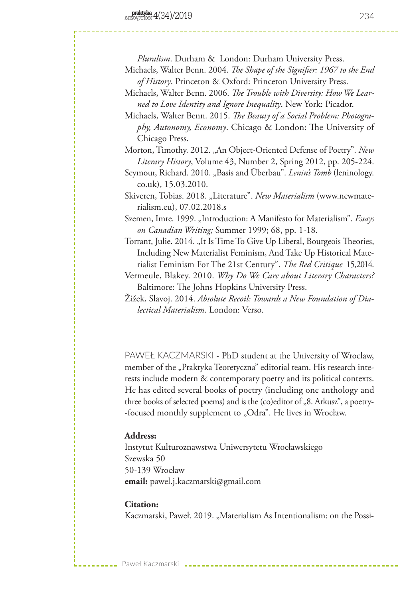*Pluralism*. Durham & London: Durham University Press.

- Michaels, Walter Benn. 2004. *The Shape of the Signifier: 1967 to the End of History*. Princeton & Oxford: Princeton University Press.
- Michaels, Walter Benn. 2006. *The Trouble with Diversity: How We Learned to Love Identity and Ignore Inequality*. New York: Picador.
- Michaels, Walter Benn. 2015. *The Beauty of a Social Problem: Photography, Autonomy, Economy*. Chicago & London: The University of Chicago Press.

Morton, Timothy. 2012. "An Object-Oriented Defense of Poetry". *New Literary History*, Volume 43, Number 2, Spring 2012, pp. 205-224.

Seymour, Richard. 2010. "Basis and Überbau". *Lenin's Tomb* (leninology. co.uk), 15.03.2010.

Szemen, Imre. 1999. "Introduction: A Manifesto for Materialism". *Essays on Canadian Writing;* Summer 1999; 68, pp. 1-18.

Torrant, Julie. 2014. "It Is Time To Give Up Liberal, Bourgeois Theories, Including New Materialist Feminism, And Take Up Historical Materialist Feminism For The 21st Century". *The Red Critique* 15, 2014.

- Vermeule, Blakey. 2010. *Why Do We Care about Literary Characters?*  Baltimore: The Johns Hopkins University Press.
- Žižek, Slavoj. 2014. *Absolute Recoil: Towards a New Foundation of Dialectical Materialism*. London: Verso.

PAWEŁ KACZMARSKI - PhD student at the University of Wroclaw, member of the "Praktyka Teoretyczna" editorial team. His research interests include modern & contemporary poetry and its political contexts. He has edited several books of poetry (including one anthology and three books of selected poems) and is the (co)editor of "8. Arkusz", a poetry--focused monthly supplement to "Odra". He lives in Wrocław.

### **Address:**

Instytut Kulturoznawstwa Uniwersytetu Wrocławskiego Szewska 50 50-139 Wrocław **email:** pawel.j.kaczmarski@gmail.com

### **Citation:**

Paweł Kaczmarski

Kaczmarski, Paweł. 2019. "Materialism As Intentionalism: on the Possi-

Skiveren, Tobias. 2018. "Literature". *New Materialism* (www.newmaterialism.eu), 07.02.2018.s